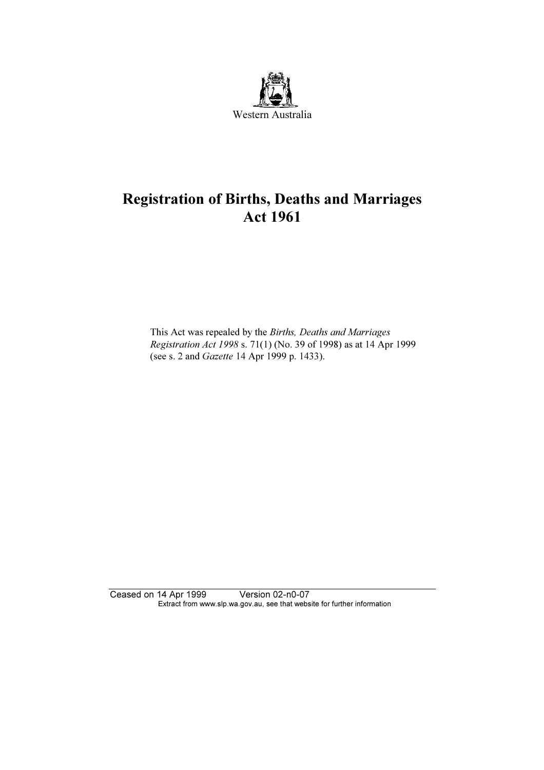

# Registration of Births, Deaths and Marriages Act 1961

 This Act was repealed by the Births, Deaths and Marriages Registration Act 1998 s. 71(1) (No. 39 of 1998) as at 14 Apr 1999 (see s. 2 and Gazette 14 Apr 1999 p. 1433).

Ceased on 14 Apr 1999 Version 02-n0-07 Extract from www.slp.wa.gov.au, see that website for further information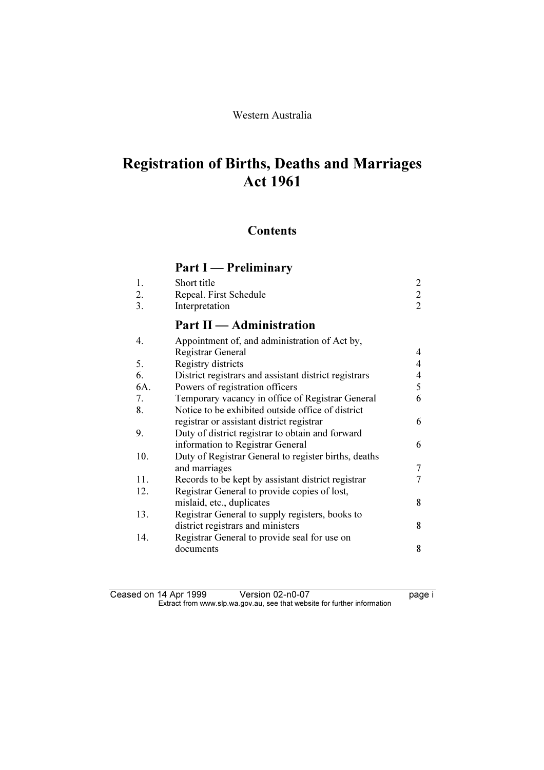### Western Australia

# Registration of Births, Deaths and Marriages Act 1961

### **Contents**

# Part I — Preliminary

| $\overline{2}$<br>$\overline{2}$<br>$\overline{2}$ |
|----------------------------------------------------|
|                                                    |
| 4                                                  |
| $\overline{4}$                                     |
| 4                                                  |
| 5                                                  |
| 6                                                  |
|                                                    |
| 6                                                  |
|                                                    |
| 6                                                  |
|                                                    |
| 7                                                  |
| 7                                                  |
|                                                    |
| 8                                                  |
|                                                    |
| 8                                                  |
|                                                    |
| 8                                                  |
|                                                    |

| Ceased on 14 Apr 1999 | Version 02-n0-07                                                         | page i |
|-----------------------|--------------------------------------------------------------------------|--------|
|                       | Extract from www.slp.wa.gov.au, see that website for further information |        |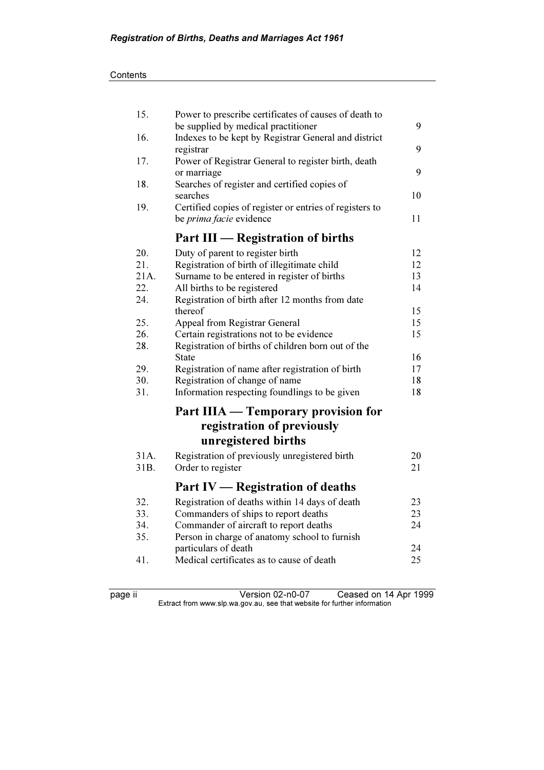| 15.  | Power to prescribe certificates of causes of death to<br>be supplied by medical practitioner | 9  |
|------|----------------------------------------------------------------------------------------------|----|
| 16.  | Indexes to be kept by Registrar General and district<br>registrar                            | 9  |
| 17.  | Power of Registrar General to register birth, death<br>or marriage                           | 9  |
| 18.  | Searches of register and certified copies of<br>searches                                     | 10 |
| 19.  | Certified copies of register or entries of registers to<br>be <i>prima facie</i> evidence    | 11 |
|      | <b>Part III — Registration of births</b>                                                     |    |
| 20.  | Duty of parent to register birth                                                             | 12 |
| 21.  | Registration of birth of illegitimate child                                                  | 12 |
| 21A. | Surname to be entered in register of births                                                  | 13 |
| 22.  | All births to be registered                                                                  | 14 |
| 24.  | Registration of birth after 12 months from date                                              |    |
|      | thereof                                                                                      | 15 |
| 25.  | Appeal from Registrar General                                                                | 15 |
| 26.  | Certain registrations not to be evidence                                                     | 15 |
| 28.  | Registration of births of children born out of the<br>State                                  | 16 |
| 29.  | Registration of name after registration of birth                                             | 17 |
| 30.  | Registration of change of name                                                               | 18 |
| 31.  | Information respecting foundlings to be given                                                | 18 |
|      | Part IIIA — Temporary provision for                                                          |    |
|      | registration of previously                                                                   |    |
|      | unregistered births                                                                          |    |
| 31A. | Registration of previously unregistered birth                                                | 20 |
| 31B. | Order to register                                                                            | 21 |
|      | Part IV — Registration of deaths                                                             |    |
| 32.  | Registration of deaths within 14 days of death                                               | 23 |
| 33.  | Commanders of ships to report deaths                                                         | 23 |
| 34.  | Commander of aircraft to report deaths                                                       | 24 |
| 35.  | Person in charge of anatomy school to furnish                                                |    |
|      | particulars of death                                                                         | 24 |
| 41.  | Medical certificates as to cause of death                                                    | 25 |
|      |                                                                                              |    |

page ii Version 02-n0-07 Ceased on 14 Apr 1999  $\mathbf{F}$  from which was the set that we besite for further information  $\mathbf{F}$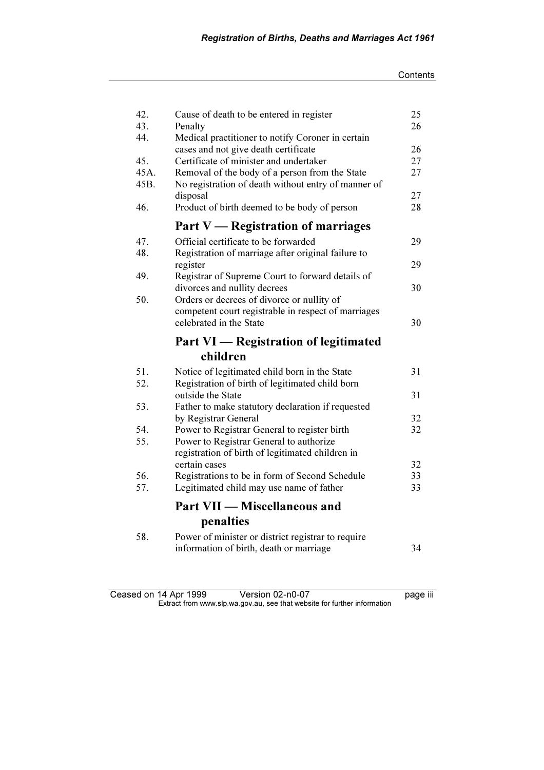| 42.  | Cause of death to be entered in register                                                      | 25 |
|------|-----------------------------------------------------------------------------------------------|----|
| 43.  | Penalty                                                                                       | 26 |
| 44.  | Medical practitioner to notify Coroner in certain                                             | 26 |
| 45.  | cases and not give death certificate<br>Certificate of minister and undertaker                | 27 |
| 45A. | Removal of the body of a person from the State                                                | 27 |
| 45B. | No registration of death without entry of manner of                                           |    |
|      | disposal                                                                                      | 27 |
| 46.  | Product of birth deemed to be body of person                                                  | 28 |
|      | Part V — Registration of marriages                                                            |    |
| 47.  | Official certificate to be forwarded                                                          | 29 |
| 48.  | Registration of marriage after original failure to                                            |    |
|      | register                                                                                      | 29 |
| 49.  | Registrar of Supreme Court to forward details of                                              |    |
|      | divorces and nullity decrees                                                                  | 30 |
| 50.  | Orders or decrees of divorce or nullity of                                                    |    |
|      | competent court registrable in respect of marriages                                           |    |
|      | celebrated in the State                                                                       | 30 |
|      |                                                                                               |    |
|      | Part VI — Registration of legitimated                                                         |    |
|      | children                                                                                      |    |
| 51.  | Notice of legitimated child born in the State                                                 | 31 |
| 52.  | Registration of birth of legitimated child born                                               |    |
|      | outside the State                                                                             | 31 |
| 53.  | Father to make statutory declaration if requested                                             |    |
|      | by Registrar General                                                                          | 32 |
| 54.  | Power to Registrar General to register birth                                                  | 32 |
| 55.  | Power to Registrar General to authorize                                                       |    |
|      | registration of birth of legitimated children in                                              |    |
|      | certain cases                                                                                 | 32 |
| 56.  | Registrations to be in form of Second Schedule                                                | 33 |
| 57.  | Legitimated child may use name of father                                                      | 33 |
|      | <b>Part VII - Miscellaneous and</b>                                                           |    |
|      | penalties                                                                                     |    |
| 58.  | Power of minister or district registrar to require<br>information of birth, death or marriage | 34 |

Ceased on 14 Apr 1999 Version 02-n0-07 page iii  $\mathbf{F}$  from which was the set that we besite for further information  $\mathbf{F}$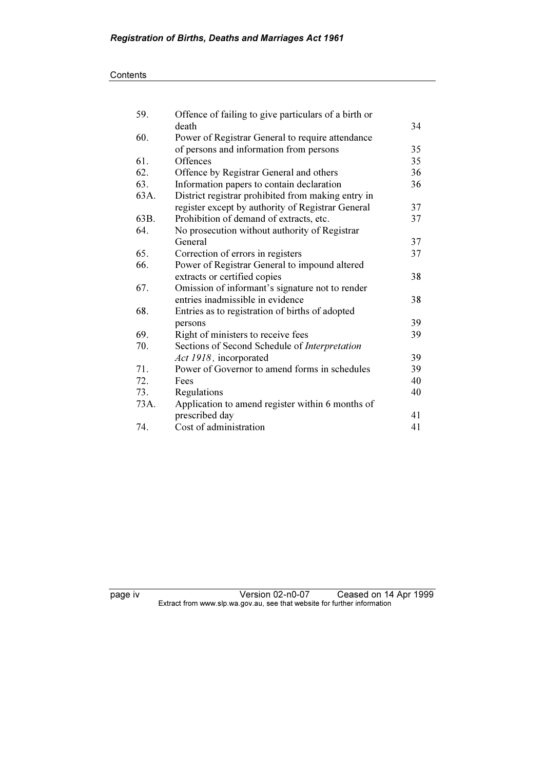| 59.  | Offence of failing to give particulars of a birth or |    |
|------|------------------------------------------------------|----|
|      | death                                                | 34 |
| 60.  | Power of Registrar General to require attendance     |    |
|      | of persons and information from persons              | 35 |
| 61.  | Offences                                             | 35 |
| 62.  | Offence by Registrar General and others              | 36 |
| 63.  | Information papers to contain declaration            | 36 |
| 63A. | District registrar prohibited from making entry in   |    |
|      | register except by authority of Registrar General    | 37 |
| 63B. | Prohibition of demand of extracts, etc.              | 37 |
| 64.  | No prosecution without authority of Registrar        |    |
|      | General                                              | 37 |
| 65.  | Correction of errors in registers                    | 37 |
| 66.  | Power of Registrar General to impound altered        |    |
|      | extracts or certified copies                         | 38 |
| 67.  | Omission of informant's signature not to render      |    |
|      | entries inadmissible in evidence                     | 38 |
| 68.  | Entries as to registration of births of adopted      |    |
|      | persons                                              | 39 |
| 69.  | Right of ministers to receive fees                   | 39 |
| 70.  | Sections of Second Schedule of Interpretation        |    |
|      | Act 1918, incorporated                               | 39 |
| 71.  | Power of Governor to amend forms in schedules        | 39 |
| 72.  | Fees                                                 | 40 |
| 73.  | Regulations                                          | 40 |
| 73A. | Application to amend register within 6 months of     |    |
|      | prescribed day                                       | 41 |
| 74.  | Cost of administration                               | 41 |

page iv Version 02-n0-07 Ceased on 14 Apr 1999  $\mathbf{F}$  from which was the set that we besite for further information  $\mathbf{F}$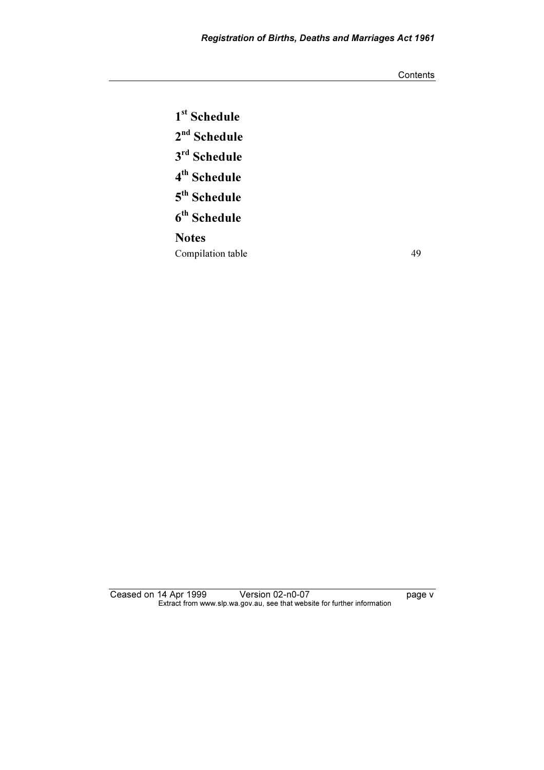**Contents** 

1<sup>st</sup> Schedule 2<sup>nd</sup> Schedule 3rd Schedule 4th Schedule 5th Schedule  $6<sup>th</sup>$  Schedule **Notes** Compilation table 49

Ceased on 14 Apr 1999 Version 02-n0-07 version to the page v  $\mathbf{F}$  from which was the set that we besite for further information  $\mathbf{F}$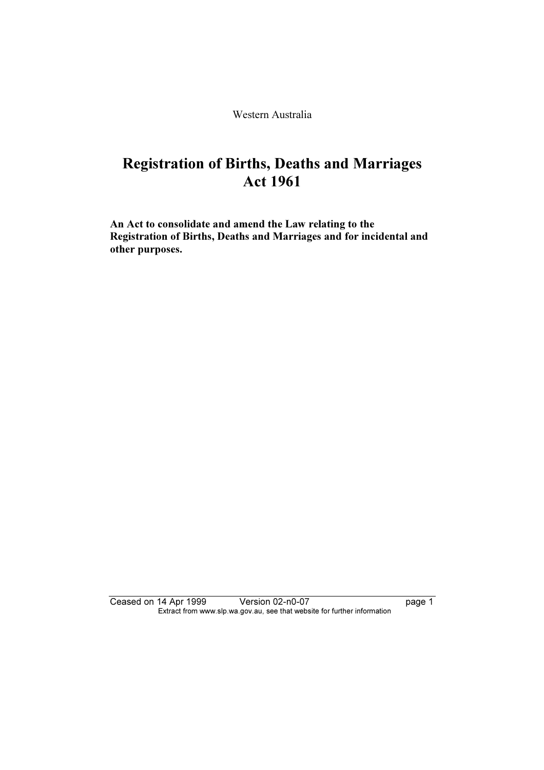Western Australia

# Registration of Births, Deaths and Marriages Act 1961

An Act to consolidate and amend the Law relating to the Registration of Births, Deaths and Marriages and for incidental and other purposes.

Ceased on 14 Apr 1999 Version 02-n0-07 page 1 Extract from www.slp.wa.gov.au, see that website for further information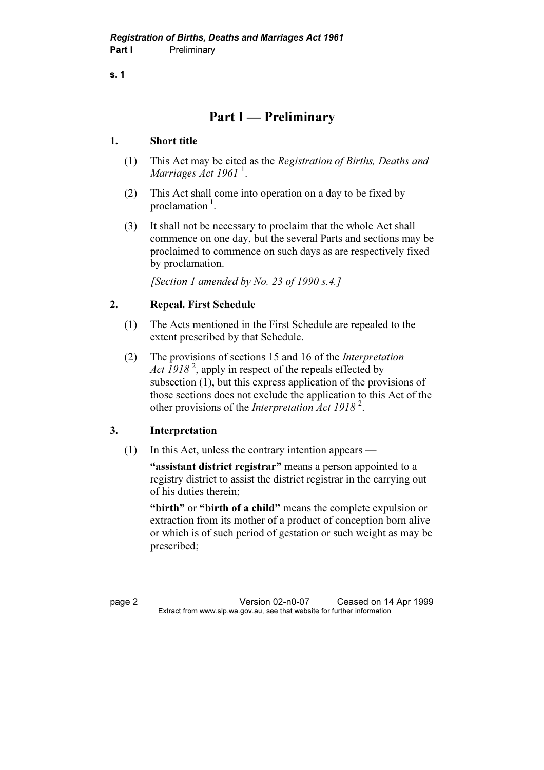### Part I — Preliminary

### 1. Short title

- (1) This Act may be cited as the Registration of Births, Deaths and Marriages  $Act$  1961<sup>1</sup>.
- (2) This Act shall come into operation on a day to be fixed by proclamation $<sup>1</sup>$ .</sup>
- (3) It shall not be necessary to proclaim that the whole Act shall commence on one day, but the several Parts and sections may be proclaimed to commence on such days as are respectively fixed by proclamation.

[Section 1 amended by No. 23 of 1990 s.4.]

### 2. Repeal. First Schedule

- (1) The Acts mentioned in the First Schedule are repealed to the extent prescribed by that Schedule.
- (2) The provisions of sections 15 and 16 of the Interpretation Act  $1918^2$ , apply in respect of the repeals effected by subsection (1), but this express application of the provisions of those sections does not exclude the application to this Act of the other provisions of the Interpretation Act 1918<sup>2</sup>.

### 3. Interpretation

(1) In this Act, unless the contrary intention appears —

"assistant district registrar" means a person appointed to a registry district to assist the district registrar in the carrying out of his duties therein;

"birth" or "birth of a child" means the complete expulsion or extraction from its mother of a product of conception born alive or which is of such period of gestation or such weight as may be prescribed;

page 2 Version 02-n0-07 Ceased on 14 Apr 1999<br>Extract from www.slp.wa.gov.au, see that website for further information  $\mathbf{F}$  from which was the set that we besite for further information  $\mathbf{F}$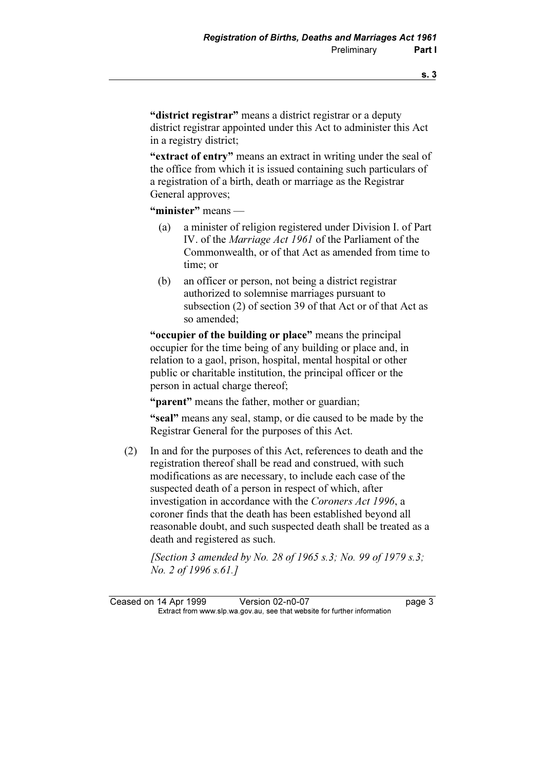"district registrar" means a district registrar or a deputy district registrar appointed under this Act to administer this Act in a registry district;

"extract of entry" means an extract in writing under the seal of the office from which it is issued containing such particulars of a registration of a birth, death or marriage as the Registrar General approves;

"minister" means —

- (a) a minister of religion registered under Division I. of Part IV. of the Marriage Act 1961 of the Parliament of the Commonwealth, or of that Act as amended from time to time; or
- (b) an officer or person, not being a district registrar authorized to solemnise marriages pursuant to subsection (2) of section 39 of that Act or of that Act as so amended;

 "occupier of the building or place" means the principal occupier for the time being of any building or place and, in relation to a gaol, prison, hospital, mental hospital or other public or charitable institution, the principal officer or the person in actual charge thereof;

"**parent**" means the father, mother or guardian:

 "seal" means any seal, stamp, or die caused to be made by the Registrar General for the purposes of this Act.

 (2) In and for the purposes of this Act, references to death and the registration thereof shall be read and construed, with such modifications as are necessary, to include each case of the suspected death of a person in respect of which, after investigation in accordance with the Coroners Act 1996, a coroner finds that the death has been established beyond all reasonable doubt, and such suspected death shall be treated as a death and registered as such.

[Section 3 amended by No. 28 of 1965 s.3; No. 99 of 1979 s.3; No. 2 of 1996 s.61.]

Ceased on 14 Apr 1999 Version 02-n0-07<br>Extract from www.slp.wa.gov.au, see that website for further information  $\mathbf{F}$  from which was the set that we besite for further information  $\mathbf{F}$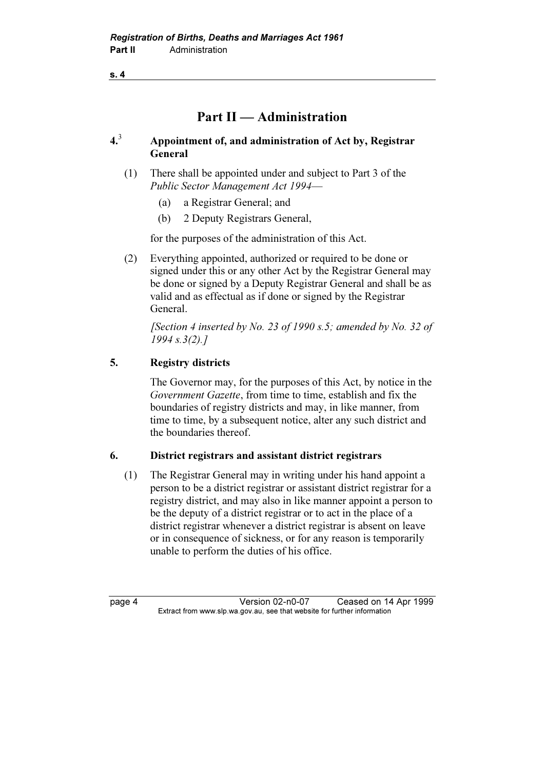### Part II — Administration

#### $4<sup>3</sup>$  Appointment of, and administration of Act by, Registrar General

- (1) There shall be appointed under and subject to Part 3 of the Public Sector Management Act 1994—
	- (a) a Registrar General; and
	- (b) 2 Deputy Registrars General,

for the purposes of the administration of this Act.

 (2) Everything appointed, authorized or required to be done or signed under this or any other Act by the Registrar General may be done or signed by a Deputy Registrar General and shall be as valid and as effectual as if done or signed by the Registrar General.

[Section 4 inserted by No. 23 of 1990 s.5; amended by No. 32 of 1994 s.3(2).]

### 5. Registry districts

 The Governor may, for the purposes of this Act, by notice in the Government Gazette, from time to time, establish and fix the boundaries of registry districts and may, in like manner, from time to time, by a subsequent notice, alter any such district and the boundaries thereof.

### 6. District registrars and assistant district registrars

 (1) The Registrar General may in writing under his hand appoint a person to be a district registrar or assistant district registrar for a registry district, and may also in like manner appoint a person to be the deputy of a district registrar or to act in the place of a district registrar whenever a district registrar is absent on leave or in consequence of sickness, or for any reason is temporarily unable to perform the duties of his office.

page 4 Version 02-n0-07 Ceased on 14 Apr 1999<br>Extract from www.slp.wa.gov.au, see that website for further information  $\mathbf{F}$  from which was the set that we besite for further information  $\mathbf{F}$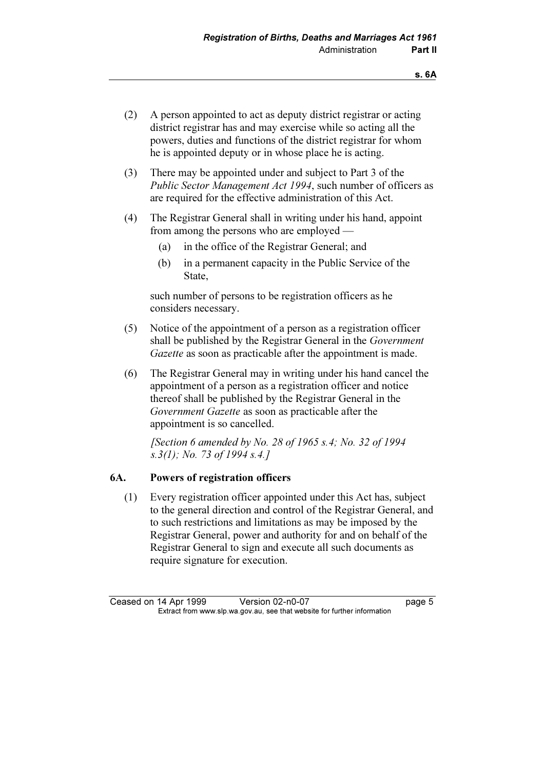- (2) A person appointed to act as deputy district registrar or acting district registrar has and may exercise while so acting all the powers, duties and functions of the district registrar for whom he is appointed deputy or in whose place he is acting.
- (3) There may be appointed under and subject to Part 3 of the Public Sector Management Act 1994, such number of officers as are required for the effective administration of this Act.
- (4) The Registrar General shall in writing under his hand, appoint from among the persons who are employed —
	- (a) in the office of the Registrar General; and
	- (b) in a permanent capacity in the Public Service of the State,

 such number of persons to be registration officers as he considers necessary.

- (5) Notice of the appointment of a person as a registration officer shall be published by the Registrar General in the Government Gazette as soon as practicable after the appointment is made.
- (6) The Registrar General may in writing under his hand cancel the appointment of a person as a registration officer and notice thereof shall be published by the Registrar General in the Government Gazette as soon as practicable after the appointment is so cancelled.

[Section 6 amended by No. 28 of 1965 s.4; No. 32 of 1994] s.3(1); No. 73 of 1994 s.4.]

### 6A. Powers of registration officers

 (1) Every registration officer appointed under this Act has, subject to the general direction and control of the Registrar General, and to such restrictions and limitations as may be imposed by the Registrar General, power and authority for and on behalf of the Registrar General to sign and execute all such documents as require signature for execution.

Ceased on 14 Apr 1999 Version 02-n0-07<br>Extract from www.slp.wa.gov.au, see that website for further information  $\mathbf{F}$  from which was the set that we besite for further information  $\mathbf{F}$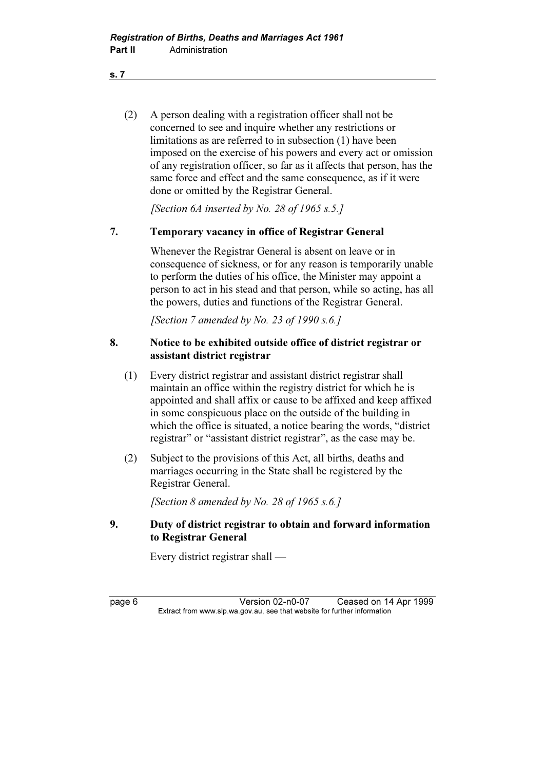(2) A person dealing with a registration officer shall not be concerned to see and inquire whether any restrictions or limitations as are referred to in subsection (1) have been imposed on the exercise of his powers and every act or omission of any registration officer, so far as it affects that person, has the same force and effect and the same consequence, as if it were done or omitted by the Registrar General.

[Section 6A inserted by No. 28 of 1965 s.5.]

### 7. Temporary vacancy in office of Registrar General

 Whenever the Registrar General is absent on leave or in consequence of sickness, or for any reason is temporarily unable to perform the duties of his office, the Minister may appoint a person to act in his stead and that person, while so acting, has all the powers, duties and functions of the Registrar General.

[Section 7 amended by No. 23 of 1990 s.6.]

### 8. Notice to be exhibited outside office of district registrar or assistant district registrar

- (1) Every district registrar and assistant district registrar shall maintain an office within the registry district for which he is appointed and shall affix or cause to be affixed and keep affixed in some conspicuous place on the outside of the building in which the office is situated, a notice bearing the words, "district registrar" or "assistant district registrar", as the case may be.
- (2) Subject to the provisions of this Act, all births, deaths and marriages occurring in the State shall be registered by the Registrar General.

[Section 8 amended by No. 28 of 1965 s.6.]

### 9. Duty of district registrar to obtain and forward information to Registrar General

Every district registrar shall —

page 6 Version 02-n0-07 Ceased on 14 Apr 1999<br>Extract from www.slp.wa.gov.au, see that website for further information  $\mathbf{F}$  from which was the set that we besite for further information  $\mathbf{F}$ 

s. 7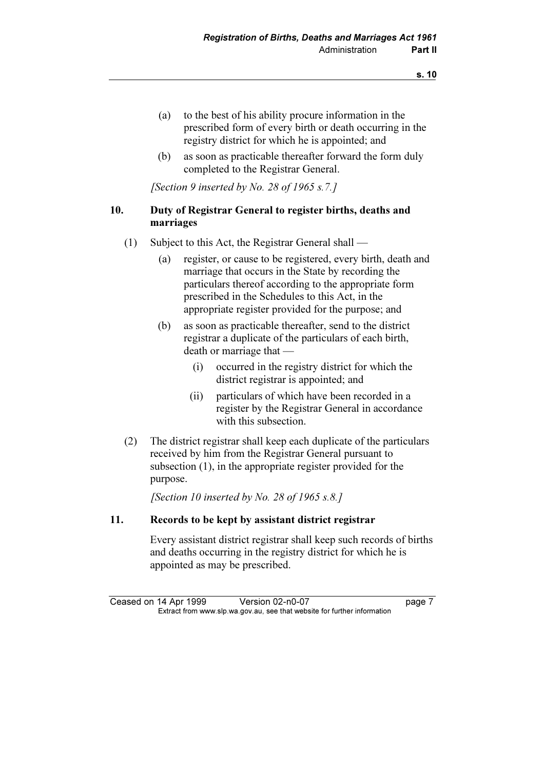- (a) to the best of his ability procure information in the prescribed form of every birth or death occurring in the registry district for which he is appointed; and
- (b) as soon as practicable thereafter forward the form duly completed to the Registrar General.

[Section 9 inserted by No. 28 of 1965 s.7.]

### 10. Duty of Registrar General to register births, deaths and marriages

- (1) Subject to this Act, the Registrar General shall
	- (a) register, or cause to be registered, every birth, death and marriage that occurs in the State by recording the particulars thereof according to the appropriate form prescribed in the Schedules to this Act, in the appropriate register provided for the purpose; and
	- (b) as soon as practicable thereafter, send to the district registrar a duplicate of the particulars of each birth, death or marriage that —
		- (i) occurred in the registry district for which the district registrar is appointed; and
		- (ii) particulars of which have been recorded in a register by the Registrar General in accordance with this subsection.
- (2) The district registrar shall keep each duplicate of the particulars received by him from the Registrar General pursuant to subsection (1), in the appropriate register provided for the purpose.

[Section 10 inserted by No. 28 of 1965 s.8.]

### 11. Records to be kept by assistant district registrar

 Every assistant district registrar shall keep such records of births and deaths occurring in the registry district for which he is appointed as may be prescribed.

Ceased on 14 Apr 1999 Version 02-n0-07<br>Extract from www.slp.wa.gov.au, see that website for further information  $\mathbf{F}$  from which was the set that we besite for further information  $\mathbf{F}$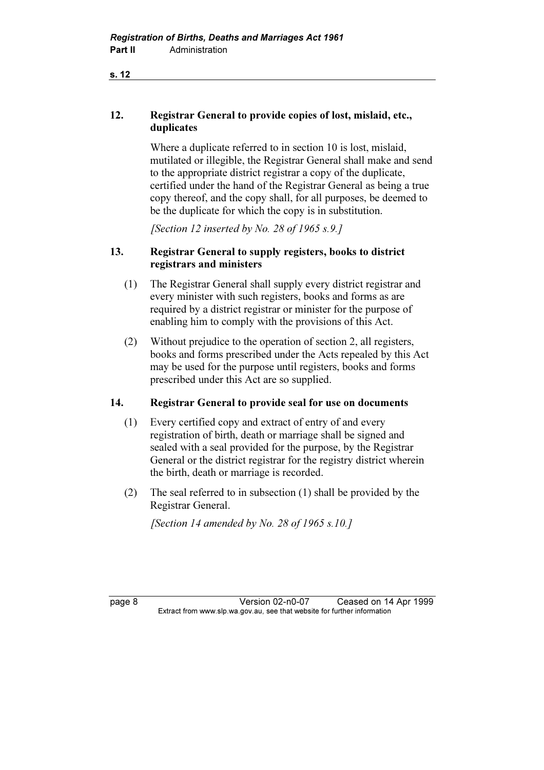### 12. Registrar General to provide copies of lost, mislaid, etc., duplicates

 Where a duplicate referred to in section 10 is lost, mislaid, mutilated or illegible, the Registrar General shall make and send to the appropriate district registrar a copy of the duplicate, certified under the hand of the Registrar General as being a true copy thereof, and the copy shall, for all purposes, be deemed to be the duplicate for which the copy is in substitution.

[Section 12 inserted by No. 28 of 1965  $s.9.1$ ]

### 13. Registrar General to supply registers, books to district registrars and ministers

- (1) The Registrar General shall supply every district registrar and every minister with such registers, books and forms as are required by a district registrar or minister for the purpose of enabling him to comply with the provisions of this Act.
- (2) Without prejudice to the operation of section 2, all registers, books and forms prescribed under the Acts repealed by this Act may be used for the purpose until registers, books and forms prescribed under this Act are so supplied.

### 14. Registrar General to provide seal for use on documents

- (1) Every certified copy and extract of entry of and every registration of birth, death or marriage shall be signed and sealed with a seal provided for the purpose, by the Registrar General or the district registrar for the registry district wherein the birth, death or marriage is recorded.
- (2) The seal referred to in subsection (1) shall be provided by the Registrar General.

[Section 14 amended by No. 28 of 1965 s.10.]

page 8 Version 02-n0-07 Ceased on 14 Apr 1999<br>Extract from www.slp.wa.gov.au, see that website for further information  $\mathbf{F}$  from which was the set that we besite for further information  $\mathbf{F}$ 

s. 12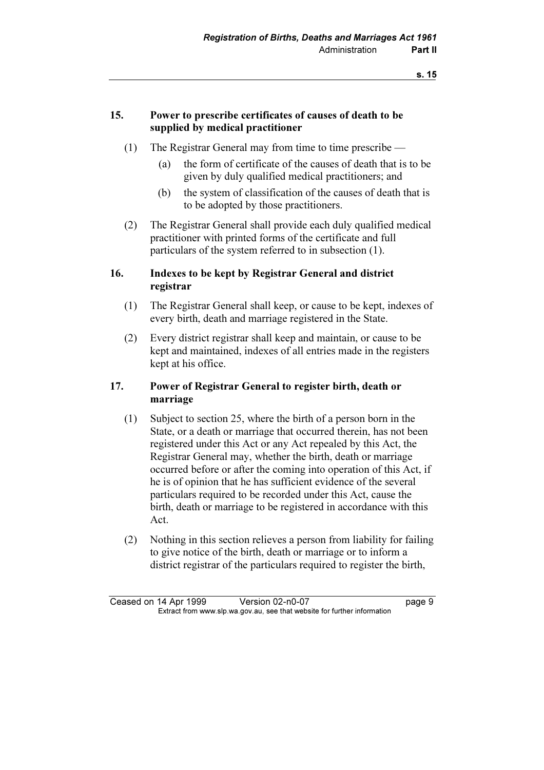### 15. Power to prescribe certificates of causes of death to be supplied by medical practitioner

- (1) The Registrar General may from time to time prescribe
	- (a) the form of certificate of the causes of death that is to be given by duly qualified medical practitioners; and
	- (b) the system of classification of the causes of death that is to be adopted by those practitioners.
- (2) The Registrar General shall provide each duly qualified medical practitioner with printed forms of the certificate and full particulars of the system referred to in subsection (1).

### 16. Indexes to be kept by Registrar General and district registrar

- (1) The Registrar General shall keep, or cause to be kept, indexes of every birth, death and marriage registered in the State.
- (2) Every district registrar shall keep and maintain, or cause to be kept and maintained, indexes of all entries made in the registers kept at his office.

### 17. Power of Registrar General to register birth, death or marriage

- (1) Subject to section 25, where the birth of a person born in the State, or a death or marriage that occurred therein, has not been registered under this Act or any Act repealed by this Act, the Registrar General may, whether the birth, death or marriage occurred before or after the coming into operation of this Act, if he is of opinion that he has sufficient evidence of the several particulars required to be recorded under this Act, cause the birth, death or marriage to be registered in accordance with this Act.
- (2) Nothing in this section relieves a person from liability for failing to give notice of the birth, death or marriage or to inform a district registrar of the particulars required to register the birth,

Ceased on 14 Apr 1999 Version 02-n0-07 page 9<br>Extract from www.slp.wa.gov.au, see that website for further information  $\mathbf{F}$  from which was the set that we besite for further information  $\mathbf{F}$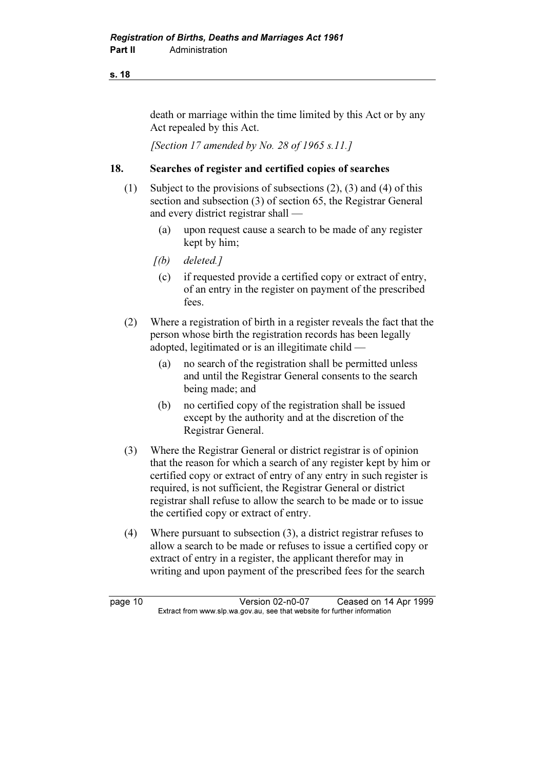death or marriage within the time limited by this Act or by any Act repealed by this Act.

[Section 17 amended by No. 28 of 1965 s.11.]

### 18. Searches of register and certified copies of searches

- (1) Subject to the provisions of subsections (2), (3) and (4) of this section and subsection (3) of section 65, the Registrar General and every district registrar shall —
	- (a) upon request cause a search to be made of any register kept by him;
	- $[(b)$  deleted.]
	- (c) if requested provide a certified copy or extract of entry, of an entry in the register on payment of the prescribed fees.
- (2) Where a registration of birth in a register reveals the fact that the person whose birth the registration records has been legally adopted, legitimated or is an illegitimate child —
	- (a) no search of the registration shall be permitted unless and until the Registrar General consents to the search being made; and
	- (b) no certified copy of the registration shall be issued except by the authority and at the discretion of the Registrar General.
- (3) Where the Registrar General or district registrar is of opinion that the reason for which a search of any register kept by him or certified copy or extract of entry of any entry in such register is required, is not sufficient, the Registrar General or district registrar shall refuse to allow the search to be made or to issue the certified copy or extract of entry.
- (4) Where pursuant to subsection (3), a district registrar refuses to allow a search to be made or refuses to issue a certified copy or extract of entry in a register, the applicant therefor may in writing and upon payment of the prescribed fees for the search

page 10 <br>Extract from www.slp.wa.gov.au, see that website for further information<br>Extract from www.slp.wa.gov.au, see that website for further information  $\mathbf{F}$  from which was the set that we besite for further information  $\mathbf{F}$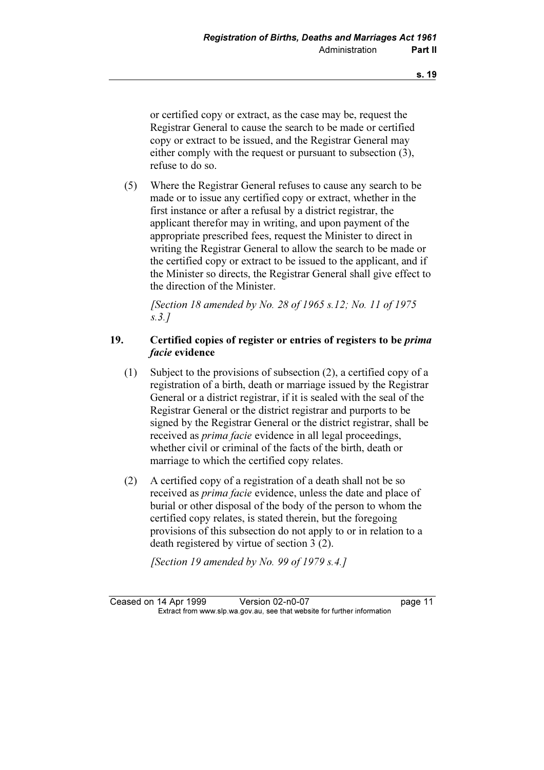or certified copy or extract, as the case may be, request the Registrar General to cause the search to be made or certified copy or extract to be issued, and the Registrar General may either comply with the request or pursuant to subsection (3), refuse to do so.

 (5) Where the Registrar General refuses to cause any search to be made or to issue any certified copy or extract, whether in the first instance or after a refusal by a district registrar, the applicant therefor may in writing, and upon payment of the appropriate prescribed fees, request the Minister to direct in writing the Registrar General to allow the search to be made or the certified copy or extract to be issued to the applicant, and if the Minister so directs, the Registrar General shall give effect to the direction of the Minister.

[Section 18 amended by No. 28 of 1965 s.12; No. 11 of 1975] s.3.]

### 19. Certified copies of register or entries of registers to be prima facie evidence

- (1) Subject to the provisions of subsection (2), a certified copy of a registration of a birth, death or marriage issued by the Registrar General or a district registrar, if it is sealed with the seal of the Registrar General or the district registrar and purports to be signed by the Registrar General or the district registrar, shall be received as prima facie evidence in all legal proceedings, whether civil or criminal of the facts of the birth, death or marriage to which the certified copy relates.
- (2) A certified copy of a registration of a death shall not be so received as prima facie evidence, unless the date and place of burial or other disposal of the body of the person to whom the certified copy relates, is stated therein, but the foregoing provisions of this subsection do not apply to or in relation to a death registered by virtue of section 3 (2).

[Section 19 amended by No. 99 of 1979 s.4.]

Ceased on 14 Apr 1999 Version 02-n0-07 page 11<br>Extract from www.slp.wa.gov.au, see that website for further information  $\mathbf{F}$  from which was the set that we besite for further information  $\mathbf{F}$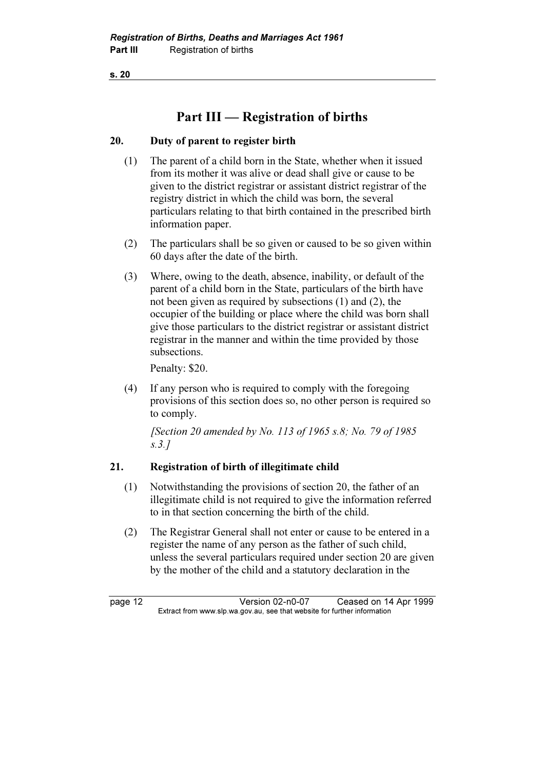## Part III — Registration of births

### 20. Duty of parent to register birth

- (1) The parent of a child born in the State, whether when it issued from its mother it was alive or dead shall give or cause to be given to the district registrar or assistant district registrar of the registry district in which the child was born, the several particulars relating to that birth contained in the prescribed birth information paper.
- (2) The particulars shall be so given or caused to be so given within 60 days after the date of the birth.
- (3) Where, owing to the death, absence, inability, or default of the parent of a child born in the State, particulars of the birth have not been given as required by subsections (1) and (2), the occupier of the building or place where the child was born shall give those particulars to the district registrar or assistant district registrar in the manner and within the time provided by those subsections.

Penalty: \$20.

 (4) If any person who is required to comply with the foregoing provisions of this section does so, no other person is required so to comply.

 [Section 20 amended by No. 113 of 1965 s.8; No. 79 of 1985 s.3.]

### 21. Registration of birth of illegitimate child

- (1) Notwithstanding the provisions of section 20, the father of an illegitimate child is not required to give the information referred to in that section concerning the birth of the child.
- (2) The Registrar General shall not enter or cause to be entered in a register the name of any person as the father of such child, unless the several particulars required under section 20 are given by the mother of the child and a statutory declaration in the

page 12 <br>Extract from www.slp.wa.gov.au, see that website for further information<br>Extract from www.slp.wa.gov.au, see that website for further information  $\mathbf{F}$  from which was the set that we besite for further information  $\mathbf{F}$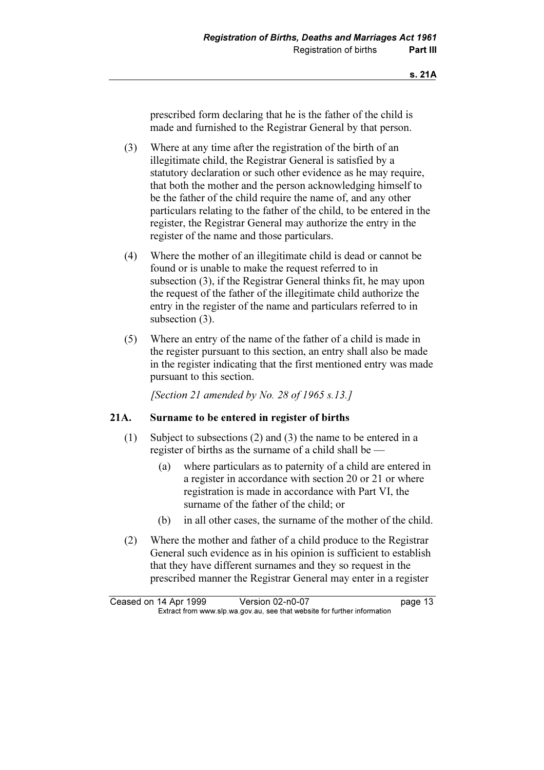prescribed form declaring that he is the father of the child is made and furnished to the Registrar General by that person.

- (3) Where at any time after the registration of the birth of an illegitimate child, the Registrar General is satisfied by a statutory declaration or such other evidence as he may require, that both the mother and the person acknowledging himself to be the father of the child require the name of, and any other particulars relating to the father of the child, to be entered in the register, the Registrar General may authorize the entry in the register of the name and those particulars.
- (4) Where the mother of an illegitimate child is dead or cannot be found or is unable to make the request referred to in subsection (3), if the Registrar General thinks fit, he may upon the request of the father of the illegitimate child authorize the entry in the register of the name and particulars referred to in subsection (3).
- (5) Where an entry of the name of the father of a child is made in the register pursuant to this section, an entry shall also be made in the register indicating that the first mentioned entry was made pursuant to this section.

[Section 21 amended by No. 28 of 1965 s.13.]

### 21A. Surname to be entered in register of births

- (1) Subject to subsections (2) and (3) the name to be entered in a register of births as the surname of a child shall be —
	- (a) where particulars as to paternity of a child are entered in a register in accordance with section 20 or 21 or where registration is made in accordance with Part VI, the surname of the father of the child; or
	- (b) in all other cases, the surname of the mother of the child.
- (2) Where the mother and father of a child produce to the Registrar General such evidence as in his opinion is sufficient to establish that they have different surnames and they so request in the prescribed manner the Registrar General may enter in a register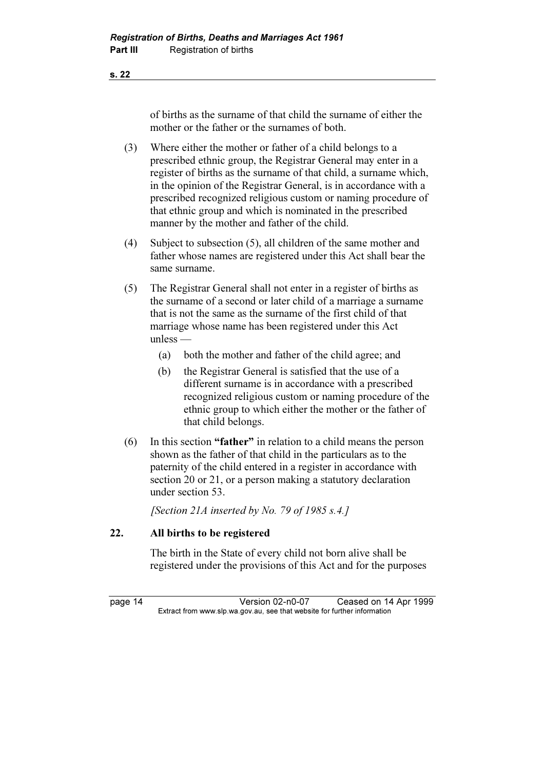of births as the surname of that child the surname of either the mother or the father or the surnames of both.

- (3) Where either the mother or father of a child belongs to a prescribed ethnic group, the Registrar General may enter in a register of births as the surname of that child, a surname which, in the opinion of the Registrar General, is in accordance with a prescribed recognized religious custom or naming procedure of that ethnic group and which is nominated in the prescribed manner by the mother and father of the child.
- (4) Subject to subsection (5), all children of the same mother and father whose names are registered under this Act shall bear the same surname.
- (5) The Registrar General shall not enter in a register of births as the surname of a second or later child of a marriage a surname that is not the same as the surname of the first child of that marriage whose name has been registered under this Act unless —
	- (a) both the mother and father of the child agree; and
	- (b) the Registrar General is satisfied that the use of a different surname is in accordance with a prescribed recognized religious custom or naming procedure of the ethnic group to which either the mother or the father of that child belongs.
- (6) In this section "father" in relation to a child means the person shown as the father of that child in the particulars as to the paternity of the child entered in a register in accordance with section 20 or 21, or a person making a statutory declaration under section 53.

[Section 21A inserted by No. 79 of 1985 s.4.]

### 22. All births to be registered

 The birth in the State of every child not born alive shall be registered under the provisions of this Act and for the purposes

page 14 Version 02-n0-07 Ceased on 14 Apr 1999<br>Extract from www.slp.wa.gov.au, see that website for further information  $\mathbf{F}$  from which was the set that we besite for further information  $\mathbf{F}$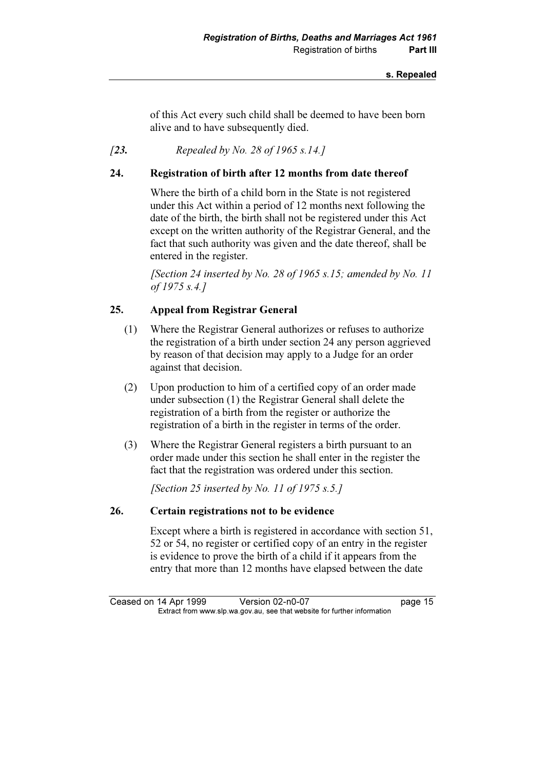of this Act every such child shall be deemed to have been born alive and to have subsequently died.

### [23. Repealed by No. 28 of 1965 s.14.]

### 24. Registration of birth after 12 months from date thereof

 Where the birth of a child born in the State is not registered under this Act within a period of 12 months next following the date of the birth, the birth shall not be registered under this Act except on the written authority of the Registrar General, and the fact that such authority was given and the date thereof, shall be entered in the register.

[Section 24 inserted by No. 28 of 1965 s.15; amended by No. 11 of 1975 s.4.]

### 25. Appeal from Registrar General

- (1) Where the Registrar General authorizes or refuses to authorize the registration of a birth under section 24 any person aggrieved by reason of that decision may apply to a Judge for an order against that decision.
- (2) Upon production to him of a certified copy of an order made under subsection (1) the Registrar General shall delete the registration of a birth from the register or authorize the registration of a birth in the register in terms of the order.
- (3) Where the Registrar General registers a birth pursuant to an order made under this section he shall enter in the register the fact that the registration was ordered under this section.

[Section 25 inserted by No. 11 of 1975 s.5.]

### 26. Certain registrations not to be evidence

 Except where a birth is registered in accordance with section 51, 52 or 54, no register or certified copy of an entry in the register is evidence to prove the birth of a child if it appears from the entry that more than 12 months have elapsed between the date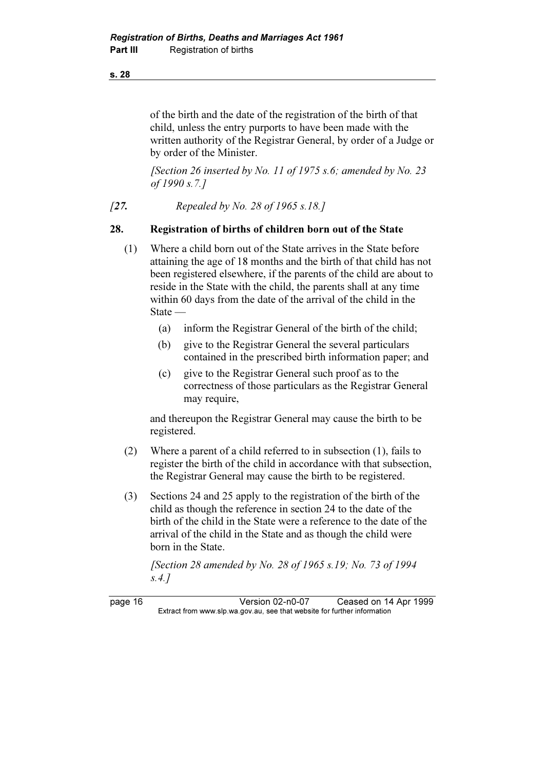of the birth and the date of the registration of the birth of that child, unless the entry purports to have been made with the written authority of the Registrar General, by order of a Judge or by order of the Minister.

[Section 26 inserted by No. 11 of 1975 s.6; amended by No. 23 of 1990 s.7.]

[27. Repealed by No. 28 of 1965 s.18.]

### 28. Registration of births of children born out of the State

- (1) Where a child born out of the State arrives in the State before attaining the age of 18 months and the birth of that child has not been registered elsewhere, if the parents of the child are about to reside in the State with the child, the parents shall at any time within 60 days from the date of the arrival of the child in the State —
	- (a) inform the Registrar General of the birth of the child;
	- (b) give to the Registrar General the several particulars contained in the prescribed birth information paper; and
	- (c) give to the Registrar General such proof as to the correctness of those particulars as the Registrar General may require,

 and thereupon the Registrar General may cause the birth to be registered.

- (2) Where a parent of a child referred to in subsection (1), fails to register the birth of the child in accordance with that subsection, the Registrar General may cause the birth to be registered.
- (3) Sections 24 and 25 apply to the registration of the birth of the child as though the reference in section 24 to the date of the birth of the child in the State were a reference to the date of the arrival of the child in the State and as though the child were born in the State.

[Section 28 amended by No. 28 of 1965 s.19; No. 73 of 1994] s.4.]

page 16 Version 02-n0-07 Ceased on 14 Apr 1999<br>Extract from www.slp.wa.gov.au, see that website for further information  $\mathbf{F}$  from which was the set that we besite for further information  $\mathbf{F}$ 

s. 28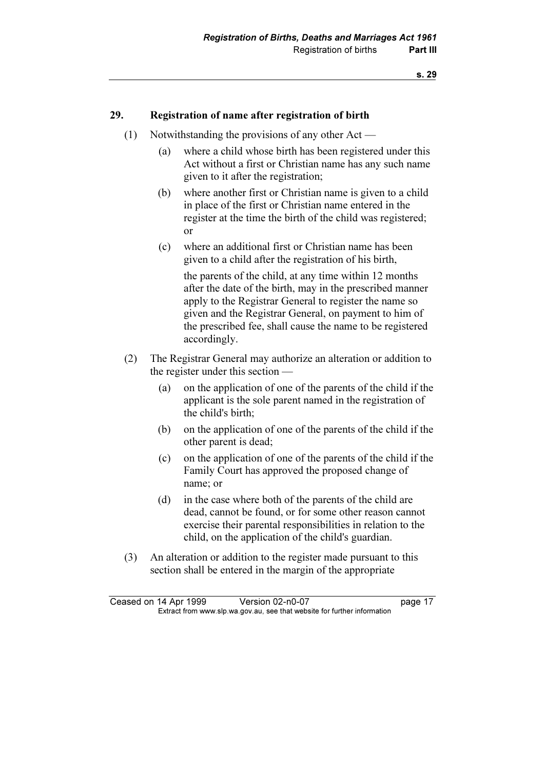### 29. Registration of name after registration of birth

- (1) Notwithstanding the provisions of any other Act
	- (a) where a child whose birth has been registered under this Act without a first or Christian name has any such name given to it after the registration;
	- (b) where another first or Christian name is given to a child in place of the first or Christian name entered in the register at the time the birth of the child was registered; or
	- (c) where an additional first or Christian name has been given to a child after the registration of his birth,

 the parents of the child, at any time within 12 months after the date of the birth, may in the prescribed manner apply to the Registrar General to register the name so given and the Registrar General, on payment to him of the prescribed fee, shall cause the name to be registered accordingly.

- (2) The Registrar General may authorize an alteration or addition to the register under this section —
	- (a) on the application of one of the parents of the child if the applicant is the sole parent named in the registration of the child's birth;
	- (b) on the application of one of the parents of the child if the other parent is dead;
	- (c) on the application of one of the parents of the child if the Family Court has approved the proposed change of name; or
	- (d) in the case where both of the parents of the child are dead, cannot be found, or for some other reason cannot exercise their parental responsibilities in relation to the child, on the application of the child's guardian.
- (3) An alteration or addition to the register made pursuant to this section shall be entered in the margin of the appropriate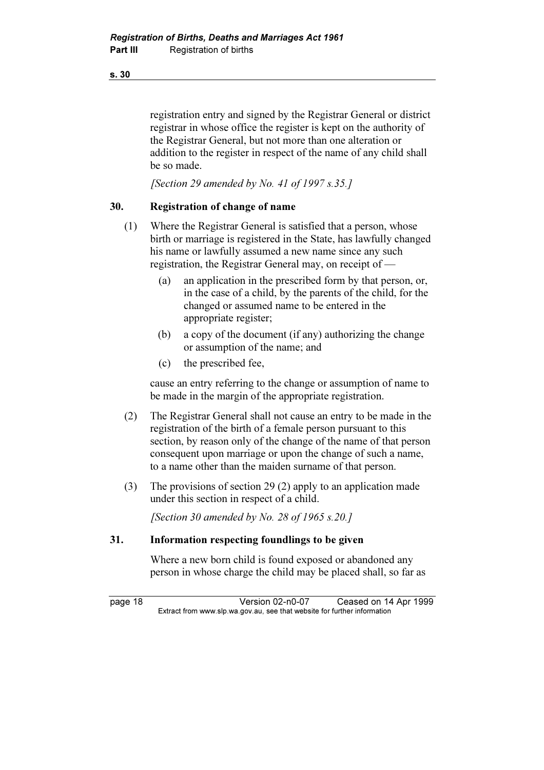registration entry and signed by the Registrar General or district registrar in whose office the register is kept on the authority of the Registrar General, but not more than one alteration or addition to the register in respect of the name of any child shall be so made.

[Section 29 amended by No. 41 of 1997 s.35.]

### 30. Registration of change of name

- (1) Where the Registrar General is satisfied that a person, whose birth or marriage is registered in the State, has lawfully changed his name or lawfully assumed a new name since any such registration, the Registrar General may, on receipt of —
	- (a) an application in the prescribed form by that person, or, in the case of a child, by the parents of the child, for the changed or assumed name to be entered in the appropriate register;
	- (b) a copy of the document (if any) authorizing the change or assumption of the name; and
	- (c) the prescribed fee,

 cause an entry referring to the change or assumption of name to be made in the margin of the appropriate registration.

- (2) The Registrar General shall not cause an entry to be made in the registration of the birth of a female person pursuant to this section, by reason only of the change of the name of that person consequent upon marriage or upon the change of such a name, to a name other than the maiden surname of that person.
- (3) The provisions of section 29 (2) apply to an application made under this section in respect of a child.

[Section 30 amended by No. 28 of 1965 s.20.]

### 31. Information respecting foundlings to be given

 Where a new born child is found exposed or abandoned any person in whose charge the child may be placed shall, so far as

page 18 Version 02-n0-07 Ceased on 14 Apr 1999<br>Extract from www.slp.wa.gov.au, see that website for further information  $\mathbf{F}$  from which was the set that we besite for further information  $\mathbf{F}$ 

s. 30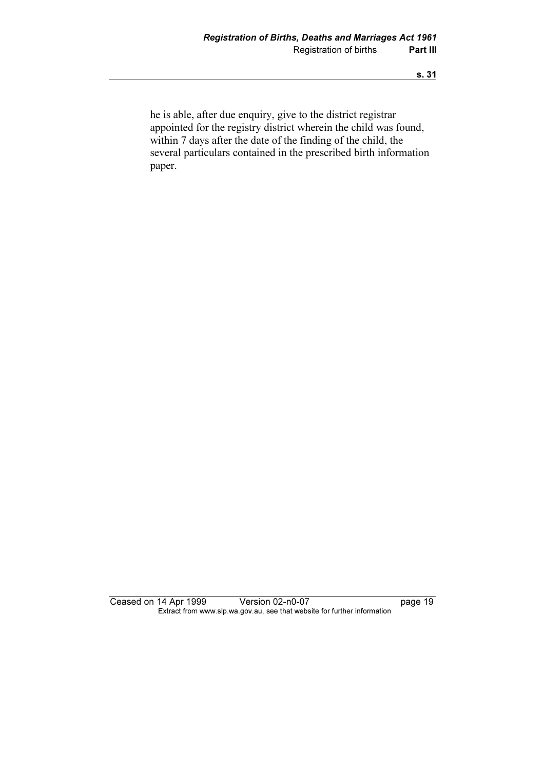he is able, after due enquiry, give to the district registrar appointed for the registry district wherein the child was found, within 7 days after the date of the finding of the child, the several particulars contained in the prescribed birth information paper.

Ceased on 14 Apr 1999 Version 02-n0-07 page 19 Extract from www.slp.wa.gov.au, see that website for further information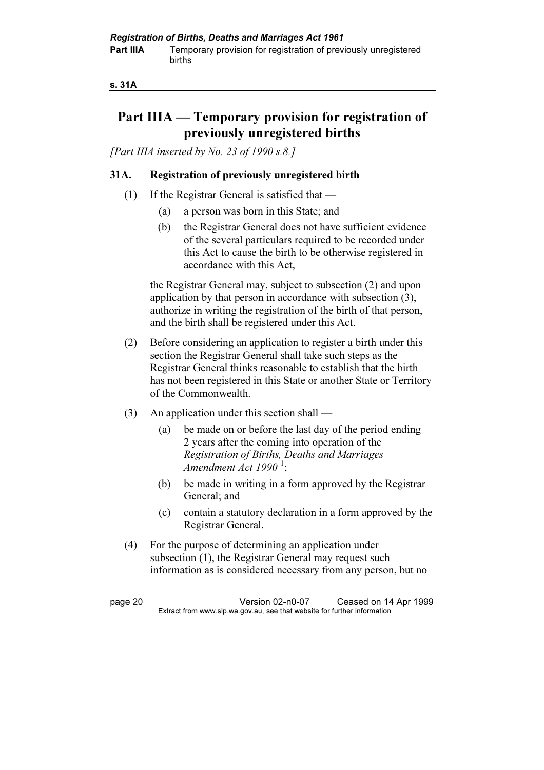#### s. 31A

### Part IIIA — Temporary provision for registration of previously unregistered births

[Part IIIA inserted by No. 23 of 1990 s.8.]

### 31A. Registration of previously unregistered birth

- (1) If the Registrar General is satisfied that
	- (a) a person was born in this State; and
	- (b) the Registrar General does not have sufficient evidence of the several particulars required to be recorded under this Act to cause the birth to be otherwise registered in accordance with this Act,

 the Registrar General may, subject to subsection (2) and upon application by that person in accordance with subsection (3), authorize in writing the registration of the birth of that person, and the birth shall be registered under this Act.

- (2) Before considering an application to register a birth under this section the Registrar General shall take such steps as the Registrar General thinks reasonable to establish that the birth has not been registered in this State or another State or Territory of the Commonwealth.
- (3) An application under this section shall
	- (a) be made on or before the last day of the period ending 2 years after the coming into operation of the Registration of Births, Deaths and Marriages Amendment Act 1990 $^1$ ;
	- (b) be made in writing in a form approved by the Registrar General; and
	- (c) contain a statutory declaration in a form approved by the Registrar General.
- (4) For the purpose of determining an application under subsection (1), the Registrar General may request such information as is considered necessary from any person, but no

page 20 **Version 02-n0-07** Ceased on 14 Apr 1999<br>Extract from www.slp.wa.gov.au, see that website for further information  $\mathbf{F}$  from which was the set that we besite for further information  $\mathbf{F}$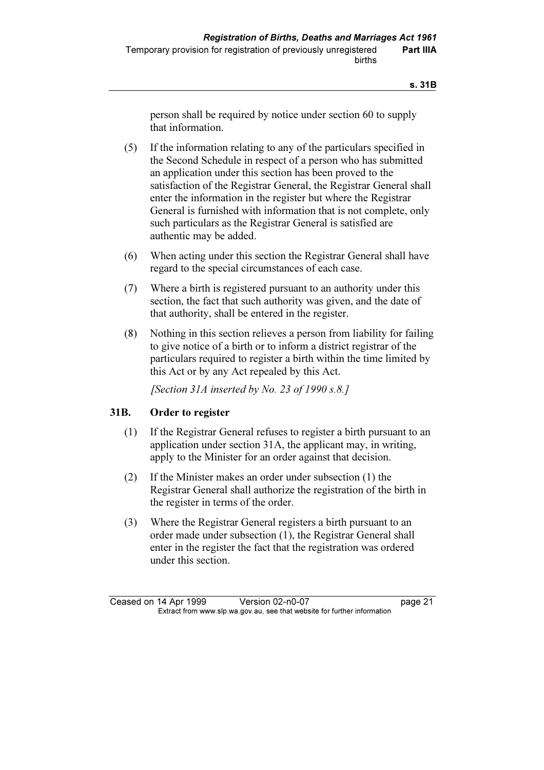person shall be required by notice under section 60 to supply that information.

- (5) If the information relating to any of the particulars specified in the Second Schedule in respect of a person who has submitted an application under this section has been proved to the satisfaction of the Registrar General, the Registrar General shall enter the information in the register but where the Registrar General is furnished with information that is not complete, only such particulars as the Registrar General is satisfied are authentic may be added.
- (6) When acting under this section the Registrar General shall have regard to the special circumstances of each case.
- (7) Where a birth is registered pursuant to an authority under this section, the fact that such authority was given, and the date of that authority, shall be entered in the register.
- (8) Nothing in this section relieves a person from liability for failing to give notice of a birth or to inform a district registrar of the particulars required to register a birth within the time limited by this Act or by any Act repealed by this Act.

[Section 31A inserted by No. 23 of 1990 s.8.]

### 31B. Order to register

- (1) If the Registrar General refuses to register a birth pursuant to an application under section 31A, the applicant may, in writing, apply to the Minister for an order against that decision.
- (2) If the Minister makes an order under subsection (1) the Registrar General shall authorize the registration of the birth in the register in terms of the order.
- (3) Where the Registrar General registers a birth pursuant to an order made under subsection (1), the Registrar General shall enter in the register the fact that the registration was ordered under this section.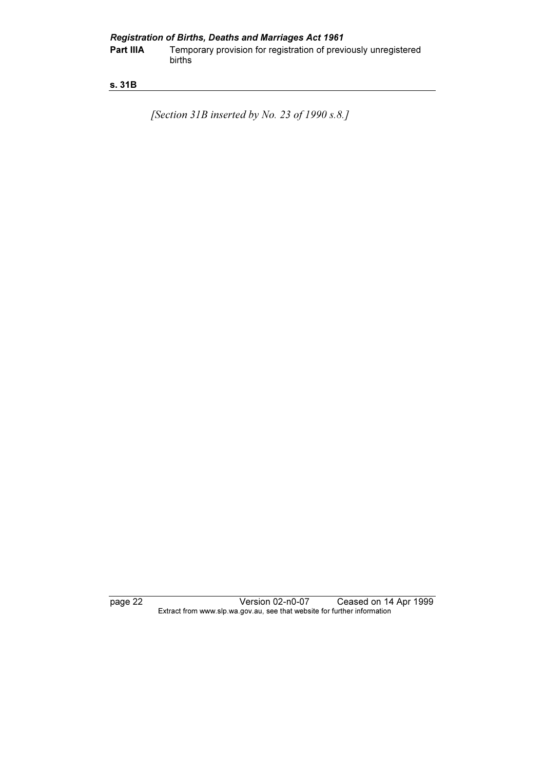### s. 31B

[Section 31B inserted by No. 23 of 1990 s.8.]

page 22 Version 02-n0-07 Ceased on 14 Apr 1999 Extract from www.slp.wa.gov.au, see that website for further information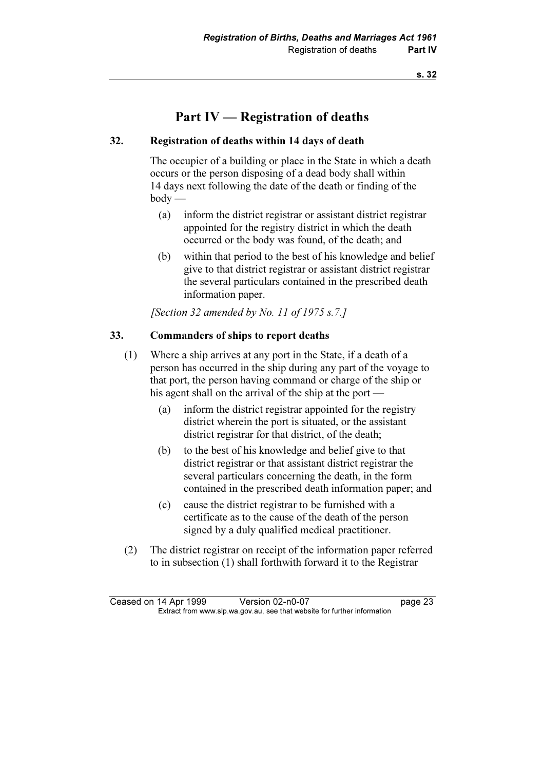### Part IV — Registration of deaths

### 32. Registration of deaths within 14 days of death

 The occupier of a building or place in the State in which a death occurs or the person disposing of a dead body shall within 14 days next following the date of the death or finding of the body —

- (a) inform the district registrar or assistant district registrar appointed for the registry district in which the death occurred or the body was found, of the death; and
- (b) within that period to the best of his knowledge and belief give to that district registrar or assistant district registrar the several particulars contained in the prescribed death information paper.

[Section 32 amended by No. 11 of 1975 s.7.]

### 33. Commanders of ships to report deaths

- (1) Where a ship arrives at any port in the State, if a death of a person has occurred in the ship during any part of the voyage to that port, the person having command or charge of the ship or his agent shall on the arrival of the ship at the port —
	- (a) inform the district registrar appointed for the registry district wherein the port is situated, or the assistant district registrar for that district, of the death;
	- (b) to the best of his knowledge and belief give to that district registrar or that assistant district registrar the several particulars concerning the death, in the form contained in the prescribed death information paper; and
	- (c) cause the district registrar to be furnished with a certificate as to the cause of the death of the person signed by a duly qualified medical practitioner.
- (2) The district registrar on receipt of the information paper referred to in subsection (1) shall forthwith forward it to the Registrar

Ceased on 14 Apr 1999 Version 02-n0-07 page 23<br>Extract from www.slp.wa.gov.au, see that website for further information  $\mathbf{F}$  from which was the set that we besite for further information  $\mathbf{F}$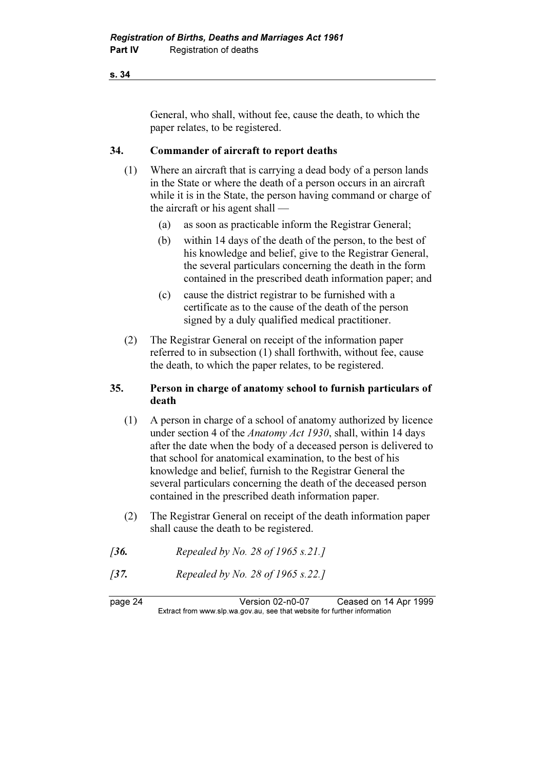General, who shall, without fee, cause the death, to which the paper relates, to be registered.

### 34. Commander of aircraft to report deaths

- (1) Where an aircraft that is carrying a dead body of a person lands in the State or where the death of a person occurs in an aircraft while it is in the State, the person having command or charge of the aircraft or his agent shall —
	- (a) as soon as practicable inform the Registrar General;
	- (b) within 14 days of the death of the person, to the best of his knowledge and belief, give to the Registrar General, the several particulars concerning the death in the form contained in the prescribed death information paper; and
	- (c) cause the district registrar to be furnished with a certificate as to the cause of the death of the person signed by a duly qualified medical practitioner.
- (2) The Registrar General on receipt of the information paper referred to in subsection (1) shall forthwith, without fee, cause the death, to which the paper relates, to be registered.

### 35. Person in charge of anatomy school to furnish particulars of death

- (1) A person in charge of a school of anatomy authorized by licence under section 4 of the *Anatomy Act 1930*, shall, within 14 days after the date when the body of a deceased person is delivered to that school for anatomical examination, to the best of his knowledge and belief, furnish to the Registrar General the several particulars concerning the death of the deceased person contained in the prescribed death information paper.
- (2) The Registrar General on receipt of the death information paper shall cause the death to be registered.
- [36. Repealed by No. 28 of 1965 s.21.]
- [37. Repealed by No. 28 of 1965 s.22.]

page 24 Version 02-n0-07 Ceased on 14 Apr 1999<br>Extract from www.slp.wa.gov.au, see that website for further information  $\mathbf{F}$  from which was the set that we besite for further information  $\mathbf{F}$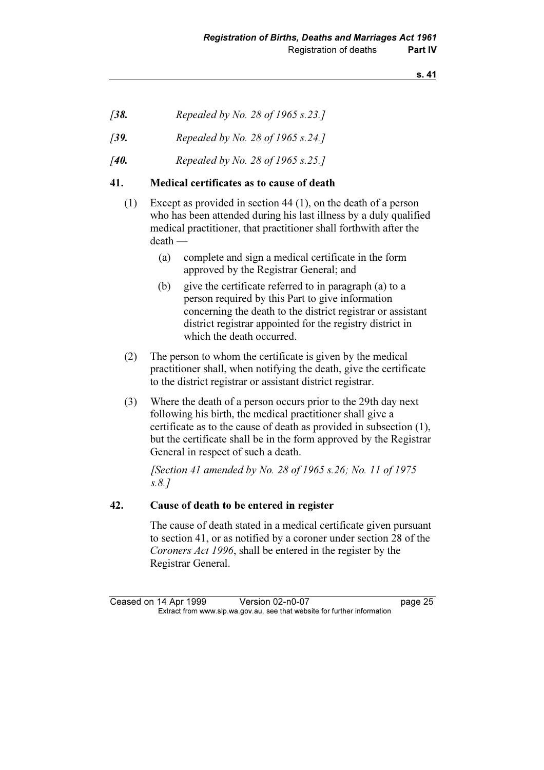- [38. Repealed by No. 28 of 1965 s.23.]
- [39. Repealed by No. 28 of 1965 s.24.]
- [40. Repealed by No. 28 of 1965 s.25.]

### 41. Medical certificates as to cause of death

- (1) Except as provided in section 44 (1), on the death of a person who has been attended during his last illness by a duly qualified medical practitioner, that practitioner shall forthwith after the death —
	- (a) complete and sign a medical certificate in the form approved by the Registrar General; and
	- (b) give the certificate referred to in paragraph (a) to a person required by this Part to give information concerning the death to the district registrar or assistant district registrar appointed for the registry district in which the death occurred.
- (2) The person to whom the certificate is given by the medical practitioner shall, when notifying the death, give the certificate to the district registrar or assistant district registrar.
- (3) Where the death of a person occurs prior to the 29th day next following his birth, the medical practitioner shall give a certificate as to the cause of death as provided in subsection (1), but the certificate shall be in the form approved by the Registrar General in respect of such a death.

[Section 41 amended by No. 28 of 1965 s.26; No. 11 of 1975] s.8.]

### 42. Cause of death to be entered in register

 The cause of death stated in a medical certificate given pursuant to section 41, or as notified by a coroner under section 28 of the Coroners Act 1996, shall be entered in the register by the Registrar General.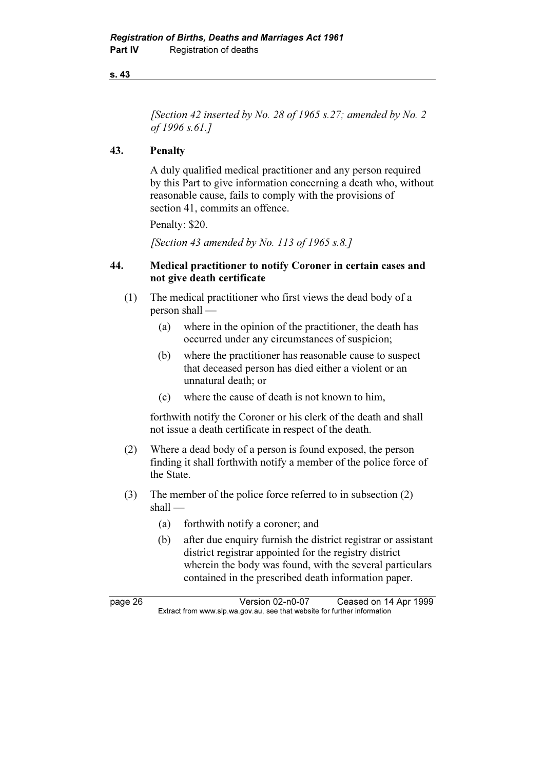[Section 42 inserted by No. 28 of 1965 s.27; amended by No. 2 of 1996 s.61.]

### 43. Penalty

 A duly qualified medical practitioner and any person required by this Part to give information concerning a death who, without reasonable cause, fails to comply with the provisions of section 41, commits an offence.

Penalty: \$20.

[Section 43 amended by No. 113 of 1965 s.8.]

### 44. Medical practitioner to notify Coroner in certain cases and not give death certificate

- (1) The medical practitioner who first views the dead body of a person shall —
	- (a) where in the opinion of the practitioner, the death has occurred under any circumstances of suspicion;
	- (b) where the practitioner has reasonable cause to suspect that deceased person has died either a violent or an unnatural death; or
	- (c) where the cause of death is not known to him,

 forthwith notify the Coroner or his clerk of the death and shall not issue a death certificate in respect of the death.

- (2) Where a dead body of a person is found exposed, the person finding it shall forthwith notify a member of the police force of the State.
- (3) The member of the police force referred to in subsection (2) shall —
	- (a) forthwith notify a coroner; and
	- (b) after due enquiry furnish the district registrar or assistant district registrar appointed for the registry district wherein the body was found, with the several particulars contained in the prescribed death information paper.

page 26 Version 02-n0-07 Ceased on 14 Apr 1999<br>Extract from www.slp.wa.gov.au, see that website for further information  $\mathbf{F}$  from which was the set that we besite for further information  $\mathbf{F}$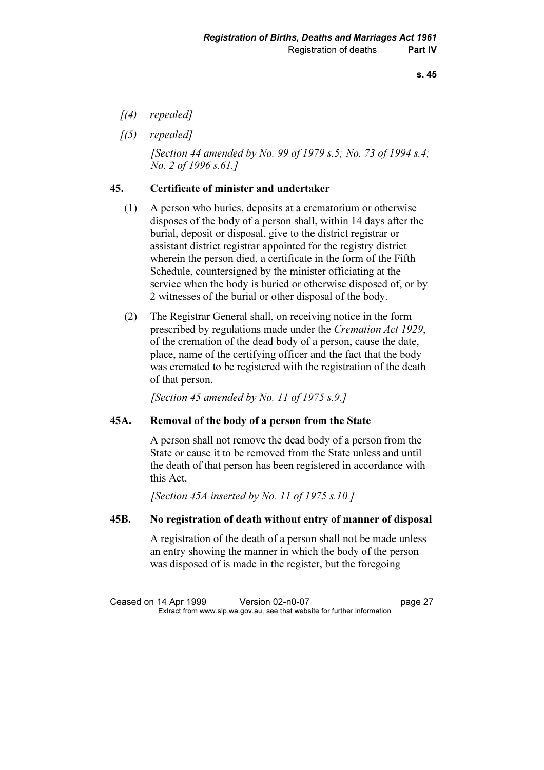- $(4)$  repealed]
- $(5)$  repealed]

[Section 44 amended by No. 99 of 1979 s.5; No. 73 of 1994 s.4; No. 2 of 1996 s.61.]

### 45. Certificate of minister and undertaker

- (1) A person who buries, deposits at a crematorium or otherwise disposes of the body of a person shall, within 14 days after the burial, deposit or disposal, give to the district registrar or assistant district registrar appointed for the registry district wherein the person died, a certificate in the form of the Fifth Schedule, countersigned by the minister officiating at the service when the body is buried or otherwise disposed of, or by 2 witnesses of the burial or other disposal of the body.
- (2) The Registrar General shall, on receiving notice in the form prescribed by regulations made under the Cremation Act 1929, of the cremation of the dead body of a person, cause the date, place, name of the certifying officer and the fact that the body was cremated to be registered with the registration of the death of that person.

[Section 45 amended by No. 11 of 1975  $s.9.1$ ]

### 45A. Removal of the body of a person from the State

 A person shall not remove the dead body of a person from the State or cause it to be removed from the State unless and until the death of that person has been registered in accordance with this Act.

[Section 45A inserted by No. 11 of 1975 s.10.]

### 45B. No registration of death without entry of manner of disposal

 A registration of the death of a person shall not be made unless an entry showing the manner in which the body of the person was disposed of is made in the register, but the foregoing

Ceased on 14 Apr 1999 Version 02-n0-07 page 27<br>Extract from www.slp.wa.gov.au, see that website for further information  $\mathbf{F}$  from which was the set that we besite for further information  $\mathbf{F}$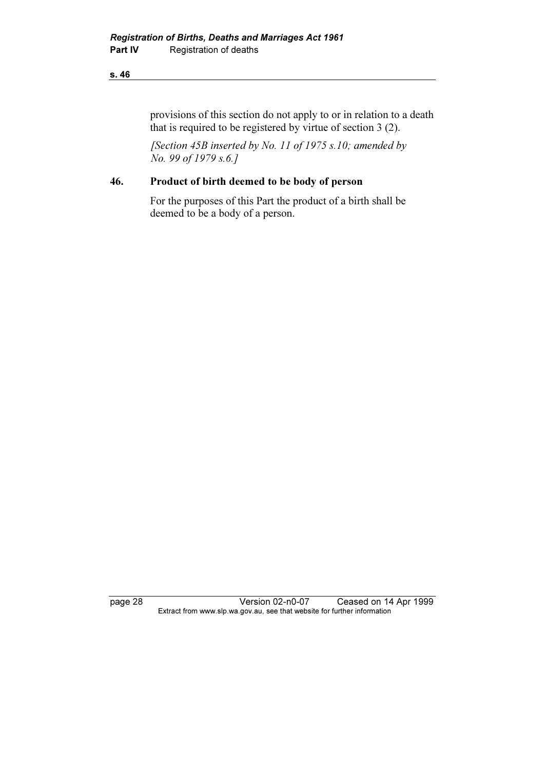provisions of this section do not apply to or in relation to a death that is required to be registered by virtue of section 3 (2).

[Section 45B inserted by No. 11 of 1975 s.10; amended by No. 99 of 1979 s.6.]

### 46. Product of birth deemed to be body of person

 For the purposes of this Part the product of a birth shall be deemed to be a body of a person.

page 28 Version 02-n0-07 Ceased on 14 Apr 1999 Extract from www.slp.wa.gov.au, see that website for further information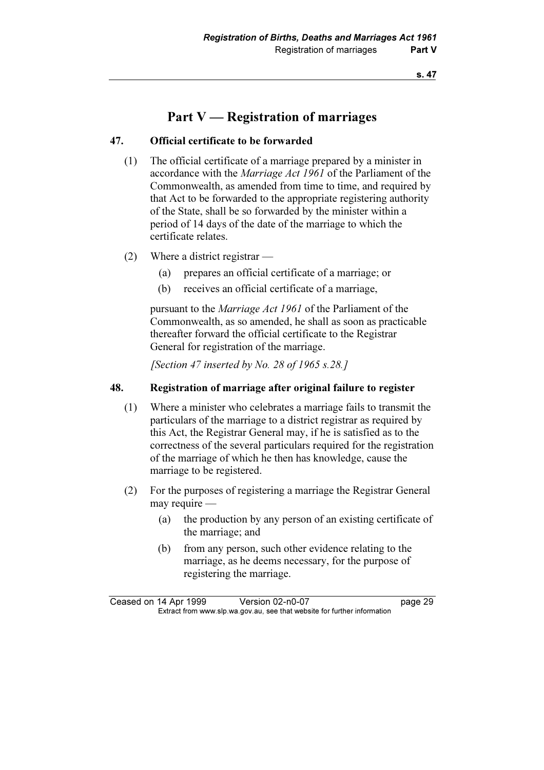### Part V — Registration of marriages

### 47. Official certificate to be forwarded

- (1) The official certificate of a marriage prepared by a minister in accordance with the Marriage Act 1961 of the Parliament of the Commonwealth, as amended from time to time, and required by that Act to be forwarded to the appropriate registering authority of the State, shall be so forwarded by the minister within a period of 14 days of the date of the marriage to which the certificate relates.
- (2) Where a district registrar
	- (a) prepares an official certificate of a marriage; or
	- (b) receives an official certificate of a marriage,

pursuant to the *Marriage Act 1961* of the Parliament of the Commonwealth, as so amended, he shall as soon as practicable thereafter forward the official certificate to the Registrar General for registration of the marriage.

[Section 47 inserted by No. 28 of 1965 s.28.]

### 48. Registration of marriage after original failure to register

- (1) Where a minister who celebrates a marriage fails to transmit the particulars of the marriage to a district registrar as required by this Act, the Registrar General may, if he is satisfied as to the correctness of the several particulars required for the registration of the marriage of which he then has knowledge, cause the marriage to be registered.
- (2) For the purposes of registering a marriage the Registrar General may require —
	- (a) the production by any person of an existing certificate of the marriage; and
	- (b) from any person, such other evidence relating to the marriage, as he deems necessary, for the purpose of registering the marriage.

Ceased on 14 Apr 1999 Version 02-n0-07 page 29<br>Extract from www.slp.wa.gov.au, see that website for further information  $\mathbf{F}$  from which was the set that we besite for further information  $\mathbf{F}$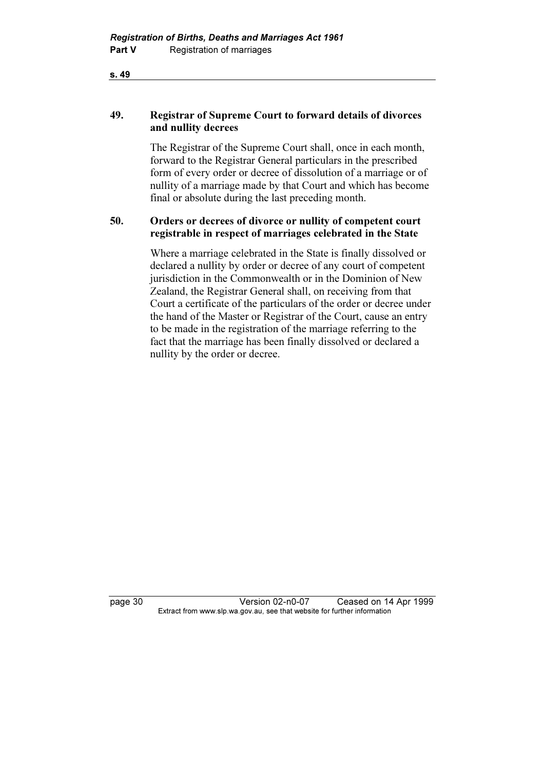### 49. Registrar of Supreme Court to forward details of divorces and nullity decrees

 The Registrar of the Supreme Court shall, once in each month, forward to the Registrar General particulars in the prescribed form of every order or decree of dissolution of a marriage or of nullity of a marriage made by that Court and which has become final or absolute during the last preceding month.

### 50. Orders or decrees of divorce or nullity of competent court registrable in respect of marriages celebrated in the State

 Where a marriage celebrated in the State is finally dissolved or declared a nullity by order or decree of any court of competent jurisdiction in the Commonwealth or in the Dominion of New Zealand, the Registrar General shall, on receiving from that Court a certificate of the particulars of the order or decree under the hand of the Master or Registrar of the Court, cause an entry to be made in the registration of the marriage referring to the fact that the marriage has been finally dissolved or declared a nullity by the order or decree.

page 30 Version 02-n0-07 Ceased on 14 Apr 1999<br>Extract from www.slp.wa.gov.au, see that website for further information  $\mathbf{F}$  from which was the set that we besite for further information  $\mathbf{F}$ 

s. 49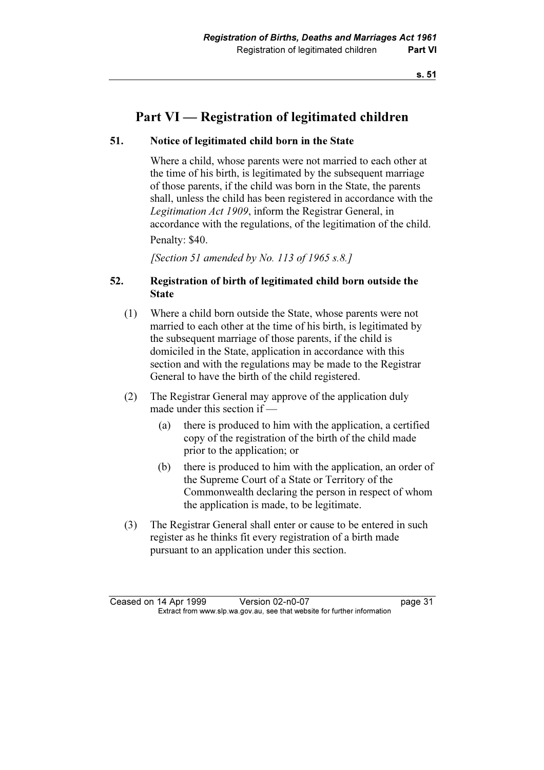### Part VI — Registration of legitimated children

### 51. Notice of legitimated child born in the State

 Where a child, whose parents were not married to each other at the time of his birth, is legitimated by the subsequent marriage of those parents, if the child was born in the State, the parents shall, unless the child has been registered in accordance with the Legitimation Act 1909, inform the Registrar General, in accordance with the regulations, of the legitimation of the child.

Penalty: \$40.

[Section 51 amended by No. 113 of 1965 s.8.]

### 52. Registration of birth of legitimated child born outside the State

- (1) Where a child born outside the State, whose parents were not married to each other at the time of his birth, is legitimated by the subsequent marriage of those parents, if the child is domiciled in the State, application in accordance with this section and with the regulations may be made to the Registrar General to have the birth of the child registered.
- (2) The Registrar General may approve of the application duly made under this section if —
	- (a) there is produced to him with the application, a certified copy of the registration of the birth of the child made prior to the application; or
	- (b) there is produced to him with the application, an order of the Supreme Court of a State or Territory of the Commonwealth declaring the person in respect of whom the application is made, to be legitimate.
- (3) The Registrar General shall enter or cause to be entered in such register as he thinks fit every registration of a birth made pursuant to an application under this section.

Ceased on 14 Apr 1999 Version 02-n0-07 page 31<br>Extract from www.slp.wa.gov.au, see that website for further information  $\mathbf{F}$  from which was the set that we besite for further information  $\mathbf{F}$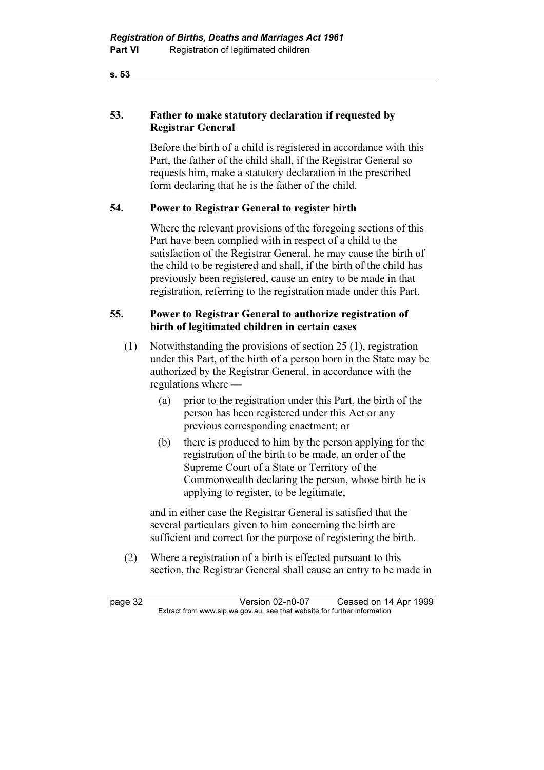### 53. Father to make statutory declaration if requested by Registrar General

 Before the birth of a child is registered in accordance with this Part, the father of the child shall, if the Registrar General so requests him, make a statutory declaration in the prescribed form declaring that he is the father of the child.

### 54. Power to Registrar General to register birth

Where the relevant provisions of the foregoing sections of this Part have been complied with in respect of a child to the satisfaction of the Registrar General, he may cause the birth of the child to be registered and shall, if the birth of the child has previously been registered, cause an entry to be made in that registration, referring to the registration made under this Part.

### 55. Power to Registrar General to authorize registration of birth of legitimated children in certain cases

- (1) Notwithstanding the provisions of section 25 (1), registration under this Part, of the birth of a person born in the State may be authorized by the Registrar General, in accordance with the regulations where —
	- (a) prior to the registration under this Part, the birth of the person has been registered under this Act or any previous corresponding enactment; or
	- (b) there is produced to him by the person applying for the registration of the birth to be made, an order of the Supreme Court of a State or Territory of the Commonwealth declaring the person, whose birth he is applying to register, to be legitimate,

 and in either case the Registrar General is satisfied that the several particulars given to him concerning the birth are sufficient and correct for the purpose of registering the birth.

 (2) Where a registration of a birth is effected pursuant to this section, the Registrar General shall cause an entry to be made in

page 32 <br>Extract from www.slp.wa.gov.au, see that website for further information<br>Extract from www.slp.wa.gov.au, see that website for further information  $\mathbf{F}$  from which was the set that we besite for further information  $\mathbf{F}$ 

s. 53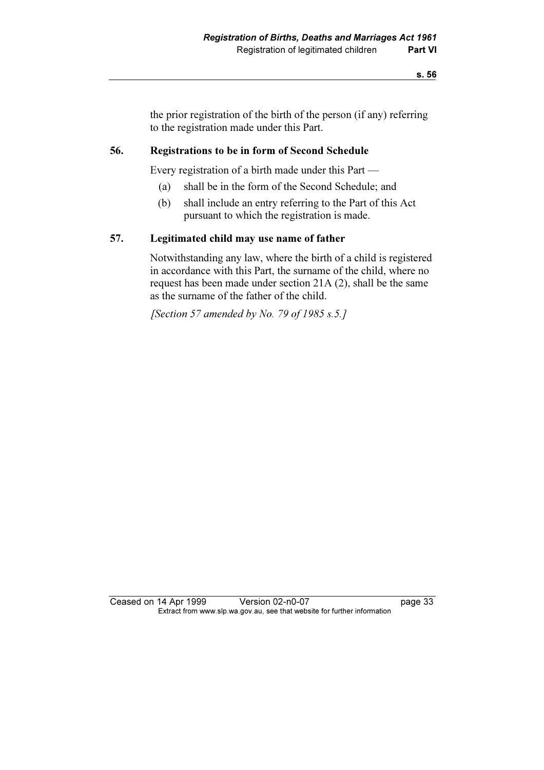the prior registration of the birth of the person (if any) referring to the registration made under this Part.

### 56. Registrations to be in form of Second Schedule

Every registration of a birth made under this Part —

- (a) shall be in the form of the Second Schedule; and
- (b) shall include an entry referring to the Part of this Act pursuant to which the registration is made.

### 57. Legitimated child may use name of father

 Notwithstanding any law, where the birth of a child is registered in accordance with this Part, the surname of the child, where no request has been made under section 21A (2), shall be the same as the surname of the father of the child.

[Section 57 amended by No. 79 of 1985 s.5.]

Ceased on 14 Apr 1999 Version 02-n0-07 page 33<br>Extract from www.slp.wa.gov.au, see that website for further information  $\mathbf{F}$  from which was the set that we besite for further information  $\mathbf{F}$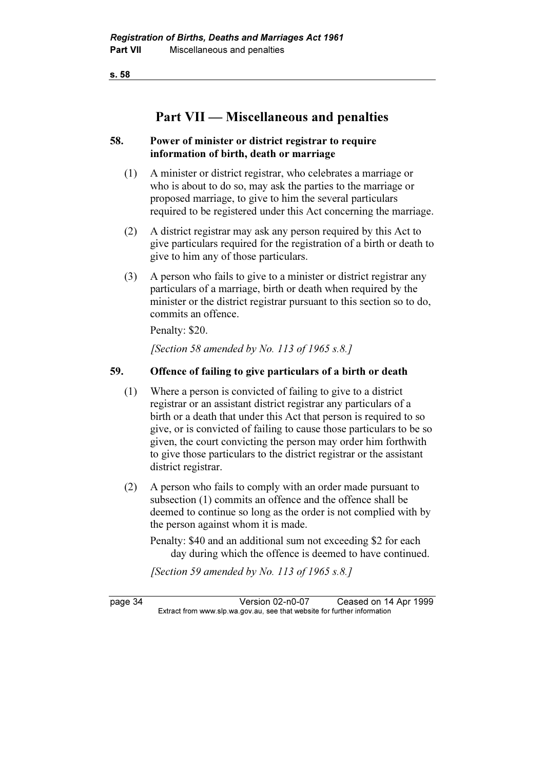### Part VII — Miscellaneous and penalties

### 58. Power of minister or district registrar to require information of birth, death or marriage

- (1) A minister or district registrar, who celebrates a marriage or who is about to do so, may ask the parties to the marriage or proposed marriage, to give to him the several particulars required to be registered under this Act concerning the marriage.
- (2) A district registrar may ask any person required by this Act to give particulars required for the registration of a birth or death to give to him any of those particulars.
- (3) A person who fails to give to a minister or district registrar any particulars of a marriage, birth or death when required by the minister or the district registrar pursuant to this section so to do, commits an offence.

Penalty: \$20.

[Section 58 amended by No. 113 of 1965 s.8.]

### 59. Offence of failing to give particulars of a birth or death

- (1) Where a person is convicted of failing to give to a district registrar or an assistant district registrar any particulars of a birth or a death that under this Act that person is required to so give, or is convicted of failing to cause those particulars to be so given, the court convicting the person may order him forthwith to give those particulars to the district registrar or the assistant district registrar.
- (2) A person who fails to comply with an order made pursuant to subsection (1) commits an offence and the offence shall be deemed to continue so long as the order is not complied with by the person against whom it is made.
	- Penalty: \$40 and an additional sum not exceeding \$2 for each day during which the offence is deemed to have continued.

[Section 59 amended by No. 113 of 1965 s.8.]

page 34 Version 02-n0-07 Ceased on 14 Apr 1999<br>Extract from www.slp.wa.gov.au, see that website for further information  $\mathbf{F}$  from which was the set that we besite for further information  $\mathbf{F}$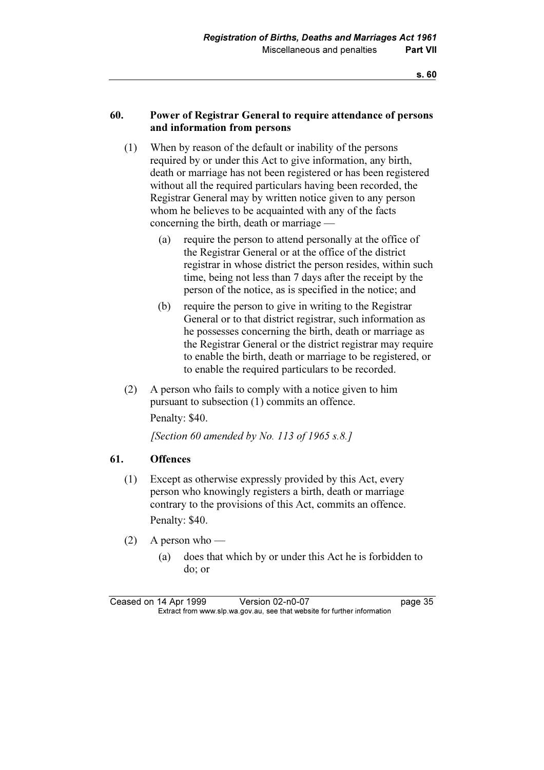### 60. Power of Registrar General to require attendance of persons and information from persons

- (1) When by reason of the default or inability of the persons required by or under this Act to give information, any birth, death or marriage has not been registered or has been registered without all the required particulars having been recorded, the Registrar General may by written notice given to any person whom he believes to be acquainted with any of the facts concerning the birth, death or marriage —
	- (a) require the person to attend personally at the office of the Registrar General or at the office of the district registrar in whose district the person resides, within such time, being not less than 7 days after the receipt by the person of the notice, as is specified in the notice; and
	- (b) require the person to give in writing to the Registrar General or to that district registrar, such information as he possesses concerning the birth, death or marriage as the Registrar General or the district registrar may require to enable the birth, death or marriage to be registered, or to enable the required particulars to be recorded.
- (2) A person who fails to comply with a notice given to him pursuant to subsection (1) commits an offence.

Penalty: \$40.

[Section 60 amended by No. 113 of 1965 s.8.]

### 61. Offences

 (1) Except as otherwise expressly provided by this Act, every person who knowingly registers a birth, death or marriage contrary to the provisions of this Act, commits an offence. Penalty: \$40.

(2) A person who —

 (a) does that which by or under this Act he is forbidden to do; or

Ceased on 14 Apr 1999 Version 02-n0-07 page 35<br>Extract from www.slp.wa.gov.au, see that website for further information  $\mathbf{F}$  from which was the set that we besite for further information  $\mathbf{F}$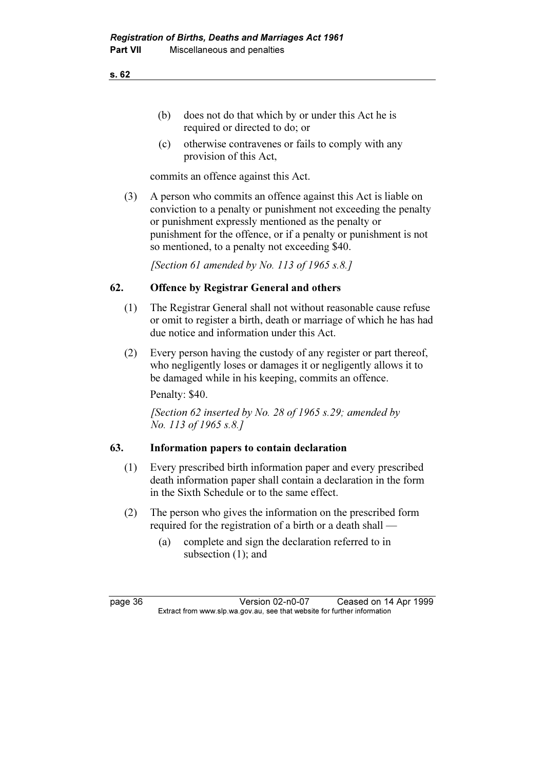- (b) does not do that which by or under this Act he is required or directed to do; or
- (c) otherwise contravenes or fails to comply with any provision of this Act,

commits an offence against this Act.

 (3) A person who commits an offence against this Act is liable on conviction to a penalty or punishment not exceeding the penalty or punishment expressly mentioned as the penalty or punishment for the offence, or if a penalty or punishment is not so mentioned, to a penalty not exceeding \$40.

[Section 61 amended by No. 113 of 1965 s.8.]

### 62. Offence by Registrar General and others

- (1) The Registrar General shall not without reasonable cause refuse or omit to register a birth, death or marriage of which he has had due notice and information under this Act.
- (2) Every person having the custody of any register or part thereof, who negligently loses or damages it or negligently allows it to be damaged while in his keeping, commits an offence. Penalty: \$40.

[Section 62 inserted by No. 28 of 1965 s.29; amended by No. 113 of 1965 s.8.]

### 63. Information papers to contain declaration

- (1) Every prescribed birth information paper and every prescribed death information paper shall contain a declaration in the form in the Sixth Schedule or to the same effect.
- (2) The person who gives the information on the prescribed form required for the registration of a birth or a death shall —
	- (a) complete and sign the declaration referred to in subsection (1); and

page 36 Version 02-n0-07 Ceased on 14 Apr 1999<br>Extract from www.slp.wa.gov.au, see that website for further information  $\mathbf{F}$  from which was the set that we besite for further information  $\mathbf{F}$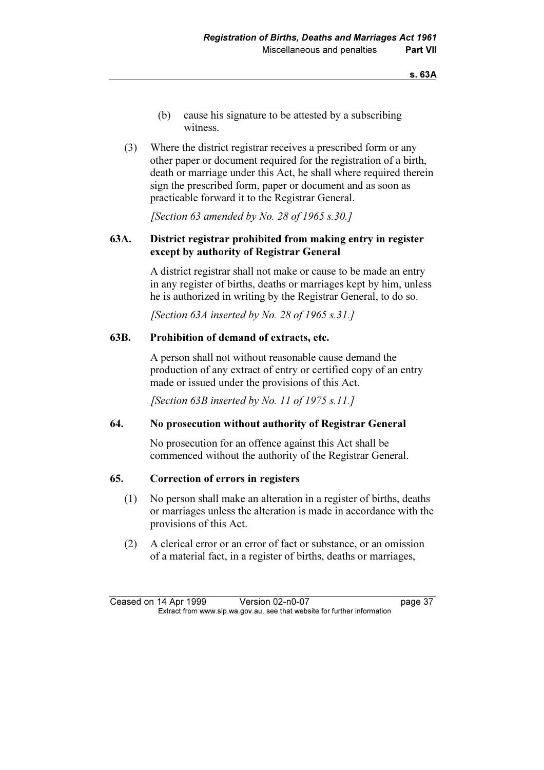- (b) cause his signature to be attested by a subscribing witness.
- (3) Where the district registrar receives a prescribed form or any other paper or document required for the registration of a birth, death or marriage under this Act, he shall where required therein sign the prescribed form, paper or document and as soon as practicable forward it to the Registrar General.

[Section 63 amended by No. 28 of 1965  $s$ , 30.]

### 63A. District registrar prohibited from making entry in register except by authority of Registrar General

 A district registrar shall not make or cause to be made an entry in any register of births, deaths or marriages kept by him, unless he is authorized in writing by the Registrar General, to do so.

[Section 63A inserted by No. 28 of 1965 s.31.]

### 63B. Prohibition of demand of extracts, etc.

 A person shall not without reasonable cause demand the production of any extract of entry or certified copy of an entry made or issued under the provisions of this Act.

[Section 63B inserted by No. 11 of 1975 s.11.]

### 64. No prosecution without authority of Registrar General

 No prosecution for an offence against this Act shall be commenced without the authority of the Registrar General.

### 65. Correction of errors in registers

- (1) No person shall make an alteration in a register of births, deaths or marriages unless the alteration is made in accordance with the provisions of this Act.
- (2) A clerical error or an error of fact or substance, or an omission of a material fact, in a register of births, deaths or marriages,

Ceased on 14 Apr 1999 Version 02-n0-07 page 37<br>Extract from www.slp.wa.gov.au, see that website for further information  $\mathbf{F}$  from which was the set that we besite for further information  $\mathbf{F}$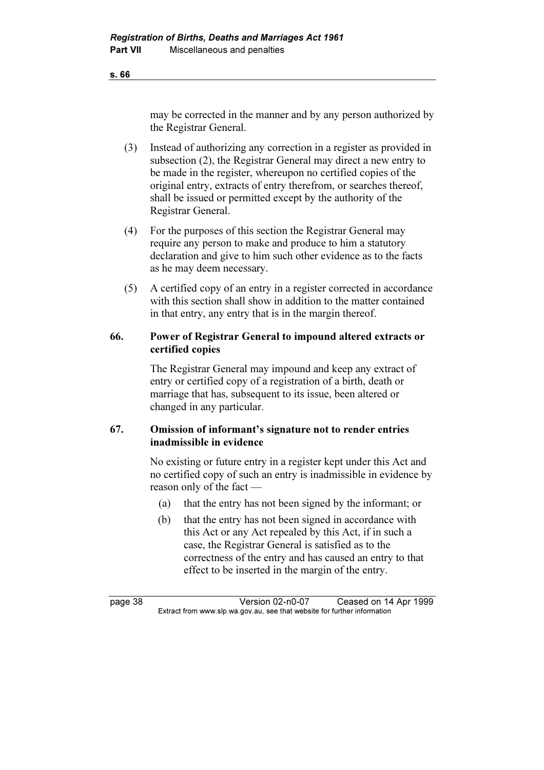may be corrected in the manner and by any person authorized by the Registrar General.

- (3) Instead of authorizing any correction in a register as provided in subsection (2), the Registrar General may direct a new entry to be made in the register, whereupon no certified copies of the original entry, extracts of entry therefrom, or searches thereof, shall be issued or permitted except by the authority of the Registrar General.
- (4) For the purposes of this section the Registrar General may require any person to make and produce to him a statutory declaration and give to him such other evidence as to the facts as he may deem necessary.
- (5) A certified copy of an entry in a register corrected in accordance with this section shall show in addition to the matter contained in that entry, any entry that is in the margin thereof.

### 66. Power of Registrar General to impound altered extracts or certified copies

 The Registrar General may impound and keep any extract of entry or certified copy of a registration of a birth, death or marriage that has, subsequent to its issue, been altered or changed in any particular.

### 67. Omission of informant's signature not to render entries inadmissible in evidence

 No existing or future entry in a register kept under this Act and no certified copy of such an entry is inadmissible in evidence by reason only of the fact —

- (a) that the entry has not been signed by the informant; or
- (b) that the entry has not been signed in accordance with this Act or any Act repealed by this Act, if in such a case, the Registrar General is satisfied as to the correctness of the entry and has caused an entry to that effect to be inserted in the margin of the entry.

page 38 Version 02-n0-07 Ceased on 14 Apr 1999<br>Extract from www.slp.wa.gov.au, see that website for further information  $\mathbf{F}$  from which was the set that we besite for further information  $\mathbf{F}$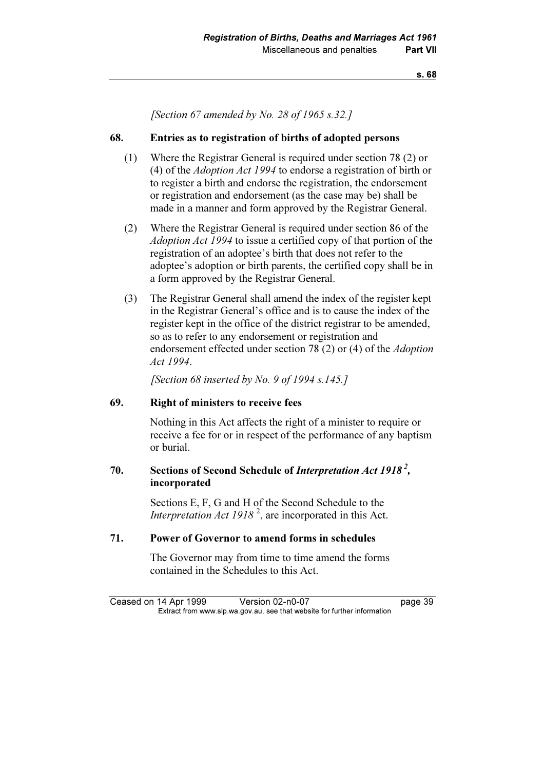[Section 67 amended by No. 28 of 1965 s.32.]

### 68. Entries as to registration of births of adopted persons

- (1) Where the Registrar General is required under section 78 (2) or (4) of the Adoption Act 1994 to endorse a registration of birth or to register a birth and endorse the registration, the endorsement or registration and endorsement (as the case may be) shall be made in a manner and form approved by the Registrar General.
- (2) Where the Registrar General is required under section 86 of the Adoption Act 1994 to issue a certified copy of that portion of the registration of an adoptee's birth that does not refer to the adoptee's adoption or birth parents, the certified copy shall be in a form approved by the Registrar General.
- (3) The Registrar General shall amend the index of the register kept in the Registrar General's office and is to cause the index of the register kept in the office of the district registrar to be amended, so as to refer to any endorsement or registration and endorsement effected under section 78 (2) or (4) of the Adoption Act 1994.

[Section 68 inserted by No. 9 of 1994 s.145.]

### 69. Right of ministers to receive fees

 Nothing in this Act affects the right of a minister to require or receive a fee for or in respect of the performance of any baptism or burial.

### 70. Sections of Second Schedule of *Interpretation Act 1918*<sup>2</sup>, incorporated

 Sections E, F, G and H of the Second Schedule to the *Interpretation Act 1918*<sup>2</sup>, are incorporated in this Act.

### 71. Power of Governor to amend forms in schedules

 The Governor may from time to time amend the forms contained in the Schedules to this Act.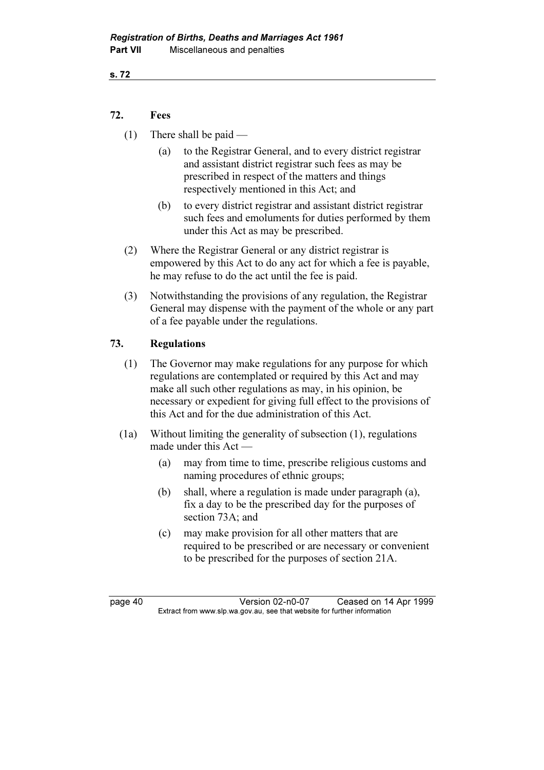### 72. Fees

- (1) There shall be paid
	- (a) to the Registrar General, and to every district registrar and assistant district registrar such fees as may be prescribed in respect of the matters and things respectively mentioned in this Act; and
	- (b) to every district registrar and assistant district registrar such fees and emoluments for duties performed by them under this Act as may be prescribed.
- (2) Where the Registrar General or any district registrar is empowered by this Act to do any act for which a fee is payable, he may refuse to do the act until the fee is paid.
- (3) Notwithstanding the provisions of any regulation, the Registrar General may dispense with the payment of the whole or any part of a fee payable under the regulations.

### 73. Regulations

- (1) The Governor may make regulations for any purpose for which regulations are contemplated or required by this Act and may make all such other regulations as may, in his opinion, be necessary or expedient for giving full effect to the provisions of this Act and for the due administration of this Act.
- (1a) Without limiting the generality of subsection (1), regulations made under this Act —
	- (a) may from time to time, prescribe religious customs and naming procedures of ethnic groups;
	- (b) shall, where a regulation is made under paragraph (a), fix a day to be the prescribed day for the purposes of section 73A; and
	- (c) may make provision for all other matters that are required to be prescribed or are necessary or convenient to be prescribed for the purposes of section 21A.

page 40 Version 02-n0-07 Ceased on 14 Apr 1999<br>Extract from www.slp.wa.gov.au, see that website for further information  $\mathbf{F}$  from which was the set that we besite for further information  $\mathbf{F}$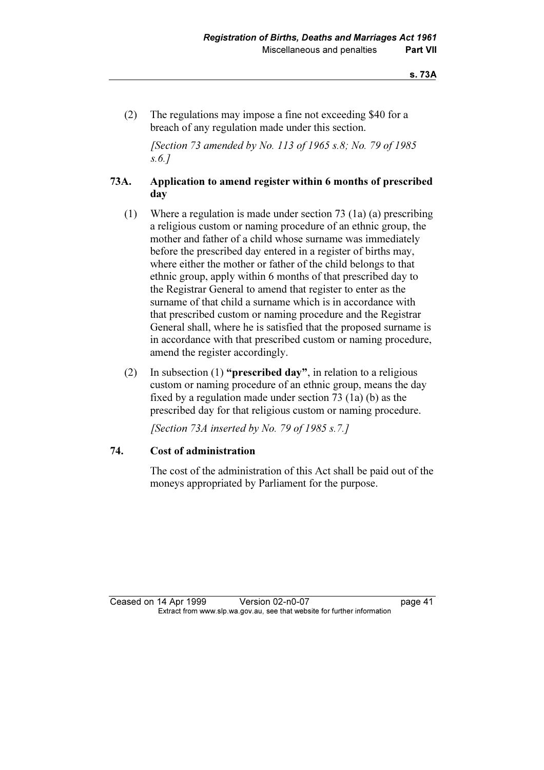(2) The regulations may impose a fine not exceeding \$40 for a breach of any regulation made under this section.

[Section 73 amended by No. 113 of 1965 s.8; No. 79 of 1985] s.6.]

### 73A. Application to amend register within 6 months of prescribed day

- (1) Where a regulation is made under section 73 (1a) (a) prescribing a religious custom or naming procedure of an ethnic group, the mother and father of a child whose surname was immediately before the prescribed day entered in a register of births may, where either the mother or father of the child belongs to that ethnic group, apply within 6 months of that prescribed day to the Registrar General to amend that register to enter as the surname of that child a surname which is in accordance with that prescribed custom or naming procedure and the Registrar General shall, where he is satisfied that the proposed surname is in accordance with that prescribed custom or naming procedure, amend the register accordingly.
- (2) In subsection (1) "**prescribed day**", in relation to a religious custom or naming procedure of an ethnic group, means the day fixed by a regulation made under section 73 (1a) (b) as the prescribed day for that religious custom or naming procedure.

[Section 73A inserted by No. 79 of 1985 s.7.]

### 74. Cost of administration

 The cost of the administration of this Act shall be paid out of the moneys appropriated by Parliament for the purpose.

Ceased on 14 Apr 1999 Version 02-n0-07 page 41<br>Extract from www.slp.wa.gov.au, see that website for further information  $\mathbf{F}$  from which was the set that we besite for further information  $\mathbf{F}$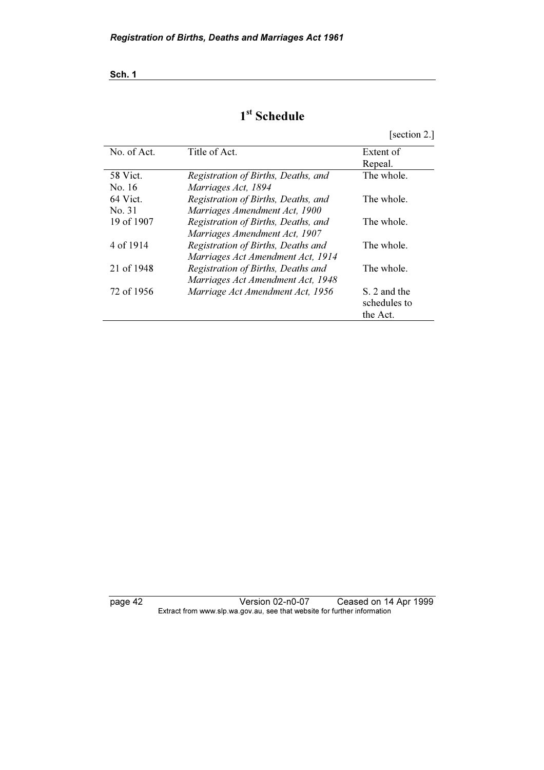# 1<sup>st</sup> Schedule

[section 2.]

| No. of Act. | Title of Act.                       | Extent of    |
|-------------|-------------------------------------|--------------|
|             |                                     | Repeal.      |
| 58 Vict.    | Registration of Births, Deaths, and | The whole.   |
| No. 16      | Marriages Act, 1894                 |              |
| 64 Vict.    | Registration of Births, Deaths, and | The whole.   |
| No. 31      | Marriages Amendment Act, 1900       |              |
| 19 of 1907  | Registration of Births, Deaths, and | The whole.   |
|             | Marriages Amendment Act, 1907       |              |
| 4 of 1914   | Registration of Births, Deaths and  | The whole.   |
|             | Marriages Act Amendment Act, 1914   |              |
| 21 of 1948  | Registration of Births, Deaths and  | The whole.   |
|             | Marriages Act Amendment Act, 1948   |              |
| 72 of 1956  | Marriage Act Amendment Act, 1956    | S. 2 and the |
|             |                                     | schedules to |
|             |                                     | the Act.     |

page 42 Version 02-n0-07 Ceased on 14 Apr 1999 Extract from www.slp.wa.gov.au, see that website for further information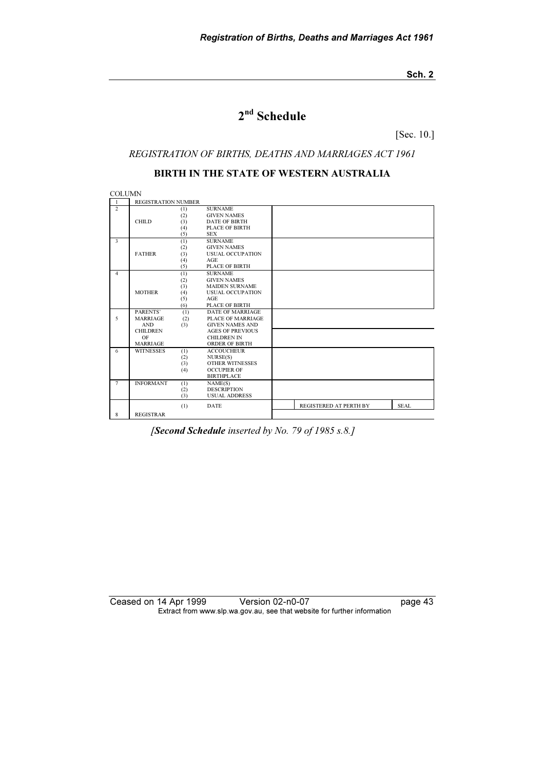# 2<sup>nd</sup> Schedule

[Sec. 10.]

#### REGISTRATION OF BIRTHS, DEATHS AND MARRIAGES ACT 1961

### BIRTH IN THE STATE OF WESTERN AUSTRALIA

**COLUMN** 1 REGISTRATION NUMBER 2 (1) SURNAME<br>
(2) GIVEN NAMES<br>
CHILD (3) DATE OF BIRTH (1) SURNAME<br>
(2) GIVEN NAMES<br>
(3) DATE OF BIRTH<br>
(4) PLACE OF BIRTH<br>
(5) SEX SEX  $\overrightarrow{3}$  (1) SURNAME (2) GIVEN NAMES<br>FATHER (3) USUAL OCCUP. USUAL OCCUPATION<br>AGE (1)<br>(2)<br>(3)<br>(4)<br>(5) (5) PLACE OF BIRTH<br>
(1) SURNAME<br>
(2) GIVEN NAMES<br>
(3) MAIDEN SURNAME<br>
(4) USUAL OCCUPAT 4 (1) SURNAME<br>
(2) GIVEN NAMES<br>
(3) MAIDEN SURNAME MOTHER (4) USUAL OCCUPATION<br>(5) AGE (5) AGE (6) PLACE OF BIRTH 5 PARENTS' (1) DATE OF MARRIAGE MARRIAGE (2) PLACE OF MARRIAGE AND (3) GIVEN NAMES AND<br>CHILDREN AGES OF PREVIOUS<br>OF CHILDREN IN MARRIAGE ORDER OF BIRTH<br>
6 WITNESSES (1) ACCOUCHEUR (2) NURSE(S) (3) OTHER WITNESSES (4) OCCUPIER OF **BIRTHPLACE** THE INFORMANT (1) NAME(S)<br>(2) DESCRIPT (2) DESCRIPTION (3) USUAL ADDRESS 8 (1) DATE REGISTRAR REGISTERED AT PERTH BY SEAL

[Second Schedule inserted by No. 79 of 1985 s.8.]

Ceased on 14 Apr 1999 Version 02-n0-07 Page 43 Extract from www.slp.wa.gov.au, see that website for further information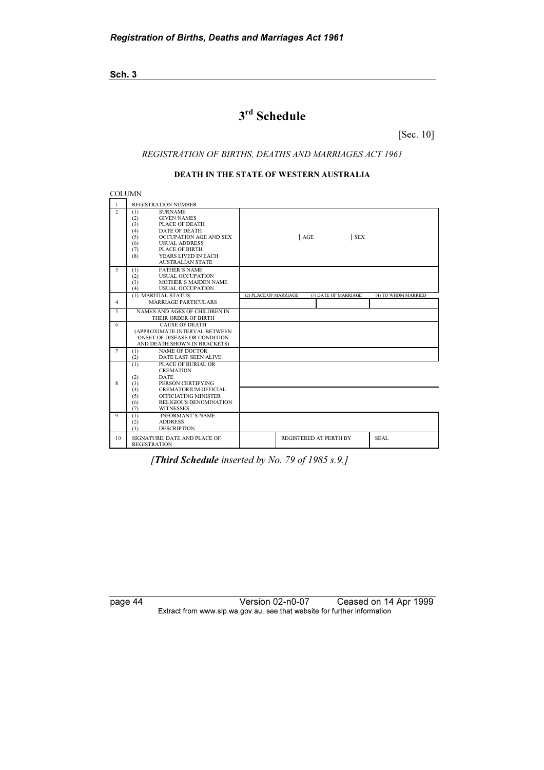# 3rd Schedule

[Sec. 10]

#### REGISTRATION OF BIRTHS, DEATHS AND MARRIAGES ACT 1961

#### DEATH IN THE STATE OF WESTERN AUSTRALIA

**COLUMN** 

| -1               | <b>REGISTRATION NUMBER</b>                                                                                                                                                                                                                                                                         |                       |     |                               |                     |
|------------------|----------------------------------------------------------------------------------------------------------------------------------------------------------------------------------------------------------------------------------------------------------------------------------------------------|-----------------------|-----|-------------------------------|---------------------|
| $\overline{2}$   | <b>SURNAME</b><br>(1)<br>(2)<br><b>GIVEN NAMES</b><br>PLACE OF DEATH<br>(3)<br><b>DATE OF DEATH</b><br>(4)<br>OCCUPATION AGE AND SEX<br>(5)<br>(6)<br><b>USUAL ADDRESS</b><br>(7)<br>PLACE OF BIRTH<br>YEARS LIVED IN EACH<br>(8)<br><b>AUSTRALIAN STATE</b>                                       |                       | AGE | <b>SEX</b>                    |                     |
| 3                | <b>FATHER'S NAME</b><br>(1)<br>(2)<br><b>USUAL OCCUPATION</b><br><b>MOTHER'S MAIDEN NAME</b><br>(3)<br>(4)<br><b>USUAL OCCUPATION</b>                                                                                                                                                              |                       |     |                               |                     |
| $\overline{4}$   | (1) MARITIAL STATUS<br><b>MARRIAGE PARTICULARS</b>                                                                                                                                                                                                                                                 | (2) PLACE OF MARRIAGE |     | (3) DATE OF MARRIAGE          | (4) TO WHOM MARRIED |
| $\overline{5}$   | NAMES AND AGES OF CHILDREN IN<br>THEIR ORDER OF BIRTH                                                                                                                                                                                                                                              |                       |     |                               |                     |
| 6                | <b>CAUSE OF DEATH</b><br>(APPROXIMATE INTERVAL BETWEEN<br>ONSET OF DISEASE OR CONDITION<br>AND DEATH SHOWN IN BRACKETS)                                                                                                                                                                            |                       |     |                               |                     |
| $7\phantom{.0}$  | <b>NAME OF DOCTOR</b><br>(1)<br>(2)<br>DATE LAST SEEN ALIVE                                                                                                                                                                                                                                        |                       |     |                               |                     |
| 8<br>$\mathbf Q$ | PLACE OF BURIAL OR<br>(1)<br><b>CREMATION</b><br><b>DATE</b><br>(2)<br>PERSON CERTIFYING<br>(3)<br><b>CREMATORIUM OFFICIAL</b><br>(4)<br>(5)<br>OFFICIATING MINISTER<br><b>RELIGIOUS DENOMINATION</b><br>(6)<br>(7)<br><b>WITNESSES</b><br><b>INFORMANT'S NAME</b><br>(1)<br>(2)<br><b>ADDRESS</b> |                       |     |                               |                     |
| 10               | (3)<br><b>DESCRIPTION</b><br>SIGNATURE, DATE AND PLACE OF<br><b>REGISTRATION</b>                                                                                                                                                                                                                   |                       |     | <b>REGISTERED AT PERTH BY</b> | <b>SEAL</b>         |

[Third Schedule inserted by No. 79 of 1985 s.9.]

page 44 Version 02-n0-07 Ceased on 14 Apr 1999 Extract from www.slp.wa.gov.au, see that website for further information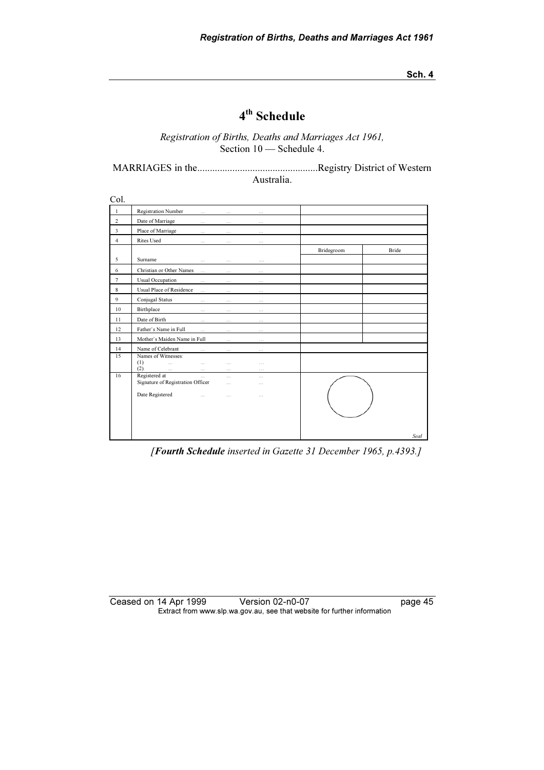# 4th Schedule

Registration of Births, Deaths and Marriages Act 1961, Section  $10$  — Schedule 4.

MARRIAGES in the................................................Registry District of Western Australia.

| Col.                    |                                                                |                      |                      |            |              |
|-------------------------|----------------------------------------------------------------|----------------------|----------------------|------------|--------------|
| $\mathbf{1}$            | Registration Number<br>$\cdots$                                | $\cdots$             | $\sim$               |            |              |
| $\overline{c}$          | Date of Marriage<br>$\cdots$                                   | $\cdots$             | $\cdots$             |            |              |
| $\overline{\mathbf{3}}$ | Place of Marriage<br>$\cdots$                                  | $\cdots$             | $\cdots$             |            |              |
| $\overline{4}$          | <b>Rites Used</b><br>$\cdots$                                  | $\cdots$             | $\cdots$             |            |              |
|                         |                                                                |                      |                      | Bridegroom | <b>Bride</b> |
| 5                       | Surname<br>$\cdots$                                            | $\cdots$             |                      |            |              |
| 6                       | Christian or Other Names<br>$\cdots$                           | $\ldots$             | $\sim$               |            |              |
| $\overline{7}$          | <b>Usual Occupation</b><br>                                    | $\cdots$             |                      |            |              |
| $\,$ 8 $\,$             | Usual Place of Residence<br>$\ldots$                           | .                    | .                    |            |              |
| $\overline{9}$          | Conjugal Status<br>$\cdots$                                    | $\cdots$             | $\cdots$             |            |              |
| 10                      | Birthplace<br>$\cdots$                                         | $\cdots$             | $\cdots$             |            |              |
| 11                      | Date of Birth<br>$\cdots$                                      | $\cdots$             | $\cdots$             |            |              |
| 12                      | Father's Name in Full<br>$\cdots$                              | $\cdots$             | $\cdots$             |            |              |
| 13                      | Mother's Maiden Name in Full                                   | .                    |                      |            |              |
| 14                      | Name of Celebrant<br>$\cdots$                                  | $\dots$              | $\cdots$             |            |              |
| 15                      | Names of Witnesses:<br>(1)<br>$\ddotsc$<br>$\cdots$            | $\cdots$             | $\cdots$             |            |              |
|                         | (2)<br>$\ldots$<br>$\dots$                                     | $\cdots$             | $\cdots$             |            |              |
| 16                      | Registered at<br>$\cdots$<br>Signature of Registration Officer | $\cdots$<br>$\cdots$ | $\cdots$<br>$\cdots$ |            |              |
|                         | Date Registered<br>.                                           | $\cdots$             | $\cdots$             |            |              |
|                         |                                                                |                      |                      |            | Seal         |

[Fourth Schedule inserted in Gazette 31 December 1965, p.4393.]

#### Ceased on 14 Apr 1999 Version 02-n0-07 page 45 Extract from www.slp.wa.gov.au, see that website for further information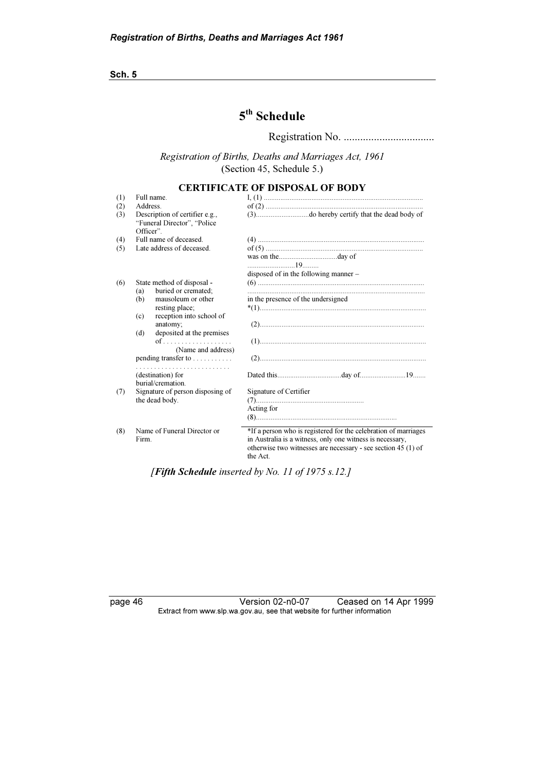# 5<sup>th</sup> Schedule

Registration No. .................................

Registration of Births, Deaths and Marriages Act, 1961 (Section 45, Schedule 5.)

### CERTIFICATE OF DISPOSAL OF BODY

| (1) | Full name.                                                                  |                                                                                                                                                                                                            |
|-----|-----------------------------------------------------------------------------|------------------------------------------------------------------------------------------------------------------------------------------------------------------------------------------------------------|
| (2) | Address.                                                                    |                                                                                                                                                                                                            |
| (3) | Description of certifier e.g.,<br>"Funeral Director", "Police"<br>Officer". |                                                                                                                                                                                                            |
| (4) | Full name of deceased.                                                      |                                                                                                                                                                                                            |
| (5) | Late address of deceased.                                                   |                                                                                                                                                                                                            |
|     |                                                                             |                                                                                                                                                                                                            |
|     |                                                                             | disposed of in the following manner –                                                                                                                                                                      |
| (6) | State method of disposal -                                                  |                                                                                                                                                                                                            |
|     | buried or cremated;<br>(a)                                                  |                                                                                                                                                                                                            |
|     | mausoleum or other<br>(b)                                                   | in the presence of the undersigned                                                                                                                                                                         |
|     | resting place;                                                              |                                                                                                                                                                                                            |
|     | reception into school of<br>(c)                                             |                                                                                                                                                                                                            |
|     | anatomy;<br>deposited at the premises<br>(d)                                |                                                                                                                                                                                                            |
|     | (Name and address)                                                          |                                                                                                                                                                                                            |
|     | pending transfer to $\dots \dots$                                           |                                                                                                                                                                                                            |
|     | (destination) for                                                           |                                                                                                                                                                                                            |
|     | burial/cremation.                                                           |                                                                                                                                                                                                            |
| (7) | Signature of person disposing of                                            | Signature of Certifier                                                                                                                                                                                     |
|     | the dead body.                                                              |                                                                                                                                                                                                            |
|     |                                                                             | Acting for                                                                                                                                                                                                 |
|     |                                                                             |                                                                                                                                                                                                            |
| (8) | Name of Funeral Director or<br>Firm.                                        | *If a person who is registered for the celebration of marriages<br>in Australia is a witness, only one witness is necessary,<br>otherwise two witnesses are necessary - see section $45(1)$ of<br>the Act. |

[Fifth Schedule inserted by No. 11 of 1975 s.12.]

page 46 Version 02-n0-07 Ceased on 14 Apr 1999 Extract from www.slp.wa.gov.au, see that website for further information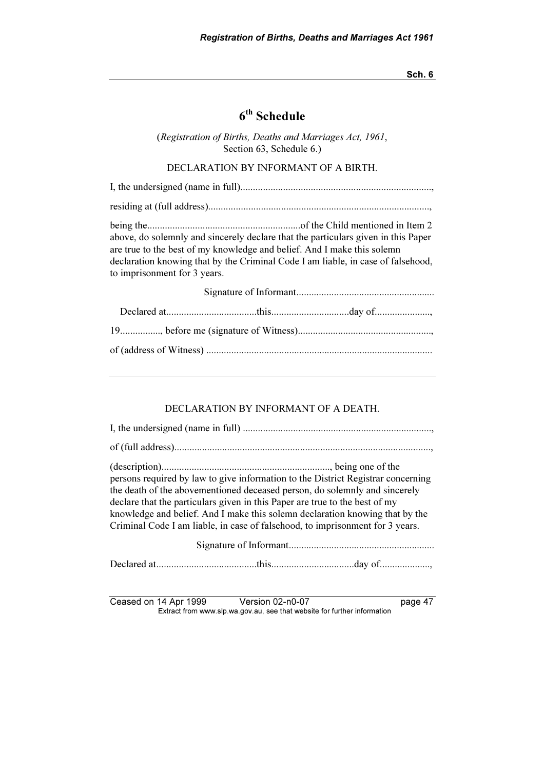## $6<sup>th</sup>$  Schedule

(Registration of Births, Deaths and Marriages Act, 1961, Section 63, Schedule 6.)

DECLARATION BY INFORMANT OF A BIRTH.

I, the undersigned (name in full)............................................................................, residing at (full address)........................................................................................, being the.............................................................of the Child mentioned in Item 2 above, do solemnly and sincerely declare that the particulars given in this Paper are true to the best of my knowledge and belief. And I make this solemn declaration knowing that by the Criminal Code I am liable, in case of falsehood, to imprisonment for 3 years. Signature of Informant....................................................... Declared at....................................this...............................day of......................,

#### DECLARATION BY INFORMANT OF A DEATH.

| persons required by law to give information to the District Registrar concerning<br>the death of the abovementioned deceased person, do solemnly and sincerely<br>declare that the particulars given in this Paper are true to the best of my<br>knowledge and belief. And I make this solemn declaration knowing that by the<br>Criminal Code I am liable, in case of falsehood, to imprisonment for 3 years. |
|----------------------------------------------------------------------------------------------------------------------------------------------------------------------------------------------------------------------------------------------------------------------------------------------------------------------------------------------------------------------------------------------------------------|
|                                                                                                                                                                                                                                                                                                                                                                                                                |
|                                                                                                                                                                                                                                                                                                                                                                                                                |

Ceased on 14 Apr 1999 Version 02-n0-07 page 47<br>Extract from www.slp.wa.gov.au, see that website for further information  $\mathbf{F}$  from which was the set that we besite for further information  $\mathbf{F}$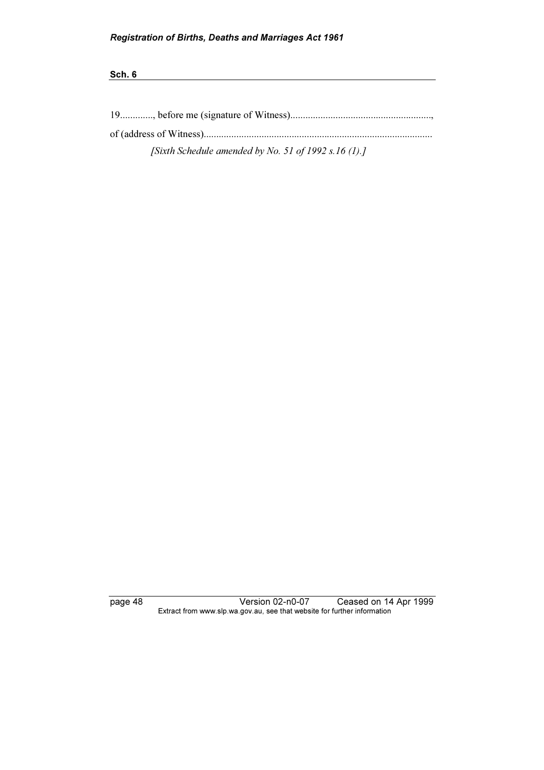| [Sixth Schedule amended by No. 51 of 1992 s.16 $(1)$ .] |
|---------------------------------------------------------|

page 48 Version 02-n0-07 Ceased on 14 Apr 1999 Extract from www.slp.wa.gov.au, see that website for further information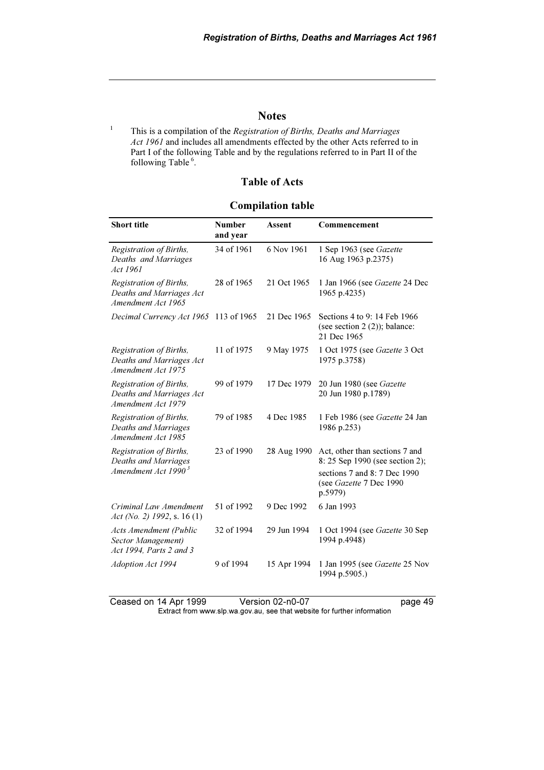### Notes

 This is a compilation of the Registration of Births, Deaths and Marriages Act 1961 and includes all amendments effected by the other Acts referred to in Part I of the following Table and by the regulations referred to in Part II of the following Table<sup>6</sup>.

1

### Table of Acts

### Compilation table

| <b>Short title</b>                                                                 | <b>Number</b><br>and year | <b>Assent</b> | Commencement                                                                                                                           |  |
|------------------------------------------------------------------------------------|---------------------------|---------------|----------------------------------------------------------------------------------------------------------------------------------------|--|
| Registration of Births,<br>Deaths and Marriages<br>Act 1961                        | 34 of 1961                | 6 Nov 1961    | 1 Sep 1963 (see Gazette<br>16 Aug 1963 p.2375)                                                                                         |  |
| Registration of Births,<br>Deaths and Marriages Act<br>Amendment Act 1965          | 28 of 1965                | 21 Oct 1965   | 1 Jan 1966 (see Gazette 24 Dec<br>1965 p.4235)                                                                                         |  |
| Decimal Currency Act 1965                                                          | 113 of 1965               | 21 Dec 1965   | Sections 4 to 9: 14 Feb 1966<br>(see section $2(2)$ ); balance:<br>21 Dec 1965                                                         |  |
| Registration of Births,<br>Deaths and Marriages Act<br>Amendment Act 1975          | 11 of 1975                | 9 May 1975    | 1 Oct 1975 (see Gazette 3 Oct<br>1975 p.3758)                                                                                          |  |
| Registration of Births,<br>Deaths and Marriages Act<br>Amendment Act 1979          | 99 of 1979                | 17 Dec 1979   | 20 Jun 1980 (see Gazette<br>20 Jun 1980 p.1789)                                                                                        |  |
| Registration of Births,<br>Deaths and Marriages<br>Amendment Act 1985              | 79 of 1985                | 4 Dec 1985    | 1 Feb 1986 (see Gazette 24 Jan<br>1986 p.253)                                                                                          |  |
| Registration of Births,<br>Deaths and Marriages<br>Amendment Act 1990 <sup>3</sup> | 23 of 1990                | 28 Aug 1990   | Act, other than sections 7 and<br>8:25 Sep 1990 (see section 2);<br>sections 7 and 8: 7 Dec 1990<br>(see Gazette 7 Dec 1990<br>p.5979) |  |
| Criminal Law Amendment<br>Act (No. 2) 1992, s. 16 (1)                              | 51 of 1992                | 9 Dec 1992    | 6 Jan 1993                                                                                                                             |  |
| <b>Acts Amendment (Public</b><br>Sector Management)<br>Act 1994, Parts 2 and 3     | 32 of 1994                | 29 Jun 1994   | 1 Oct 1994 (see Gazette 30 Sep<br>1994 p.4948)                                                                                         |  |
| Adoption Act 1994                                                                  | 9 of 1994                 | 15 Apr 1994   | 1 Jan 1995 (see Gazette 25 Nov<br>1994 p.5905.)                                                                                        |  |

Ceased on 14 Apr 1999 Version 02-n0-07 page 49 Extract from www.slp.wa.gov.au, see that website for further information